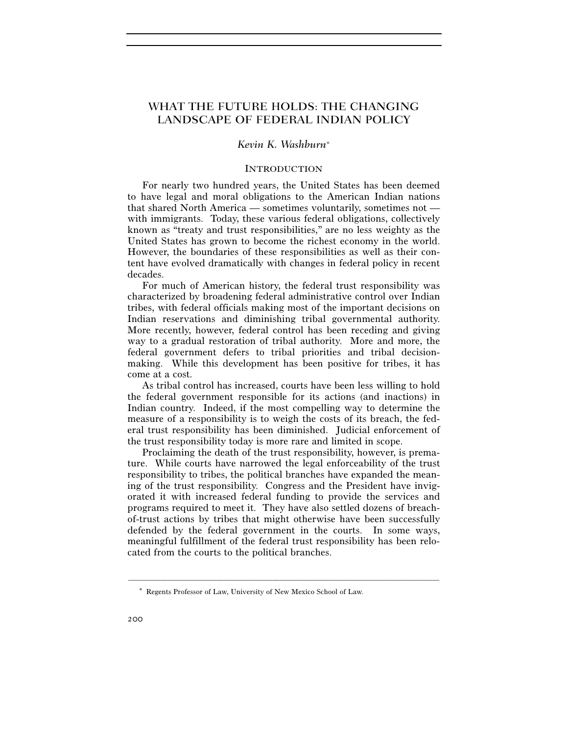# WHAT THE FUTURE HOLDS: THE CHANGING LANDSCAPE OF FEDERAL INDIAN POLICY

# *Kevin K. Washburn*<sup>∗</sup>

### INTRODUCTION

For nearly two hundred years, the United States has been deemed to have legal and moral obligations to the American Indian nations that shared North America — sometimes voluntarily, sometimes not with immigrants. Today, these various federal obligations, collectively known as "treaty and trust responsibilities," are no less weighty as the United States has grown to become the richest economy in the world. However, the boundaries of these responsibilities as well as their content have evolved dramatically with changes in federal policy in recent decades.

For much of American history, the federal trust responsibility was characterized by broadening federal administrative control over Indian tribes, with federal officials making most of the important decisions on Indian reservations and diminishing tribal governmental authority. More recently, however, federal control has been receding and giving way to a gradual restoration of tribal authority. More and more, the federal government defers to tribal priorities and tribal decisionmaking. While this development has been positive for tribes, it has come at a cost.

As tribal control has increased, courts have been less willing to hold the federal government responsible for its actions (and inactions) in Indian country. Indeed, if the most compelling way to determine the measure of a responsibility is to weigh the costs of its breach, the federal trust responsibility has been diminished. Judicial enforcement of the trust responsibility today is more rare and limited in scope.

Proclaiming the death of the trust responsibility, however, is premature. While courts have narrowed the legal enforceability of the trust responsibility to tribes, the political branches have expanded the meaning of the trust responsibility. Congress and the President have invigorated it with increased federal funding to provide the services and programs required to meet it. They have also settled dozens of breachof-trust actions by tribes that might otherwise have been successfully defended by the federal government in the courts. In some ways, meaningful fulfillment of the federal trust responsibility has been relocated from the courts to the political branches.

<sup>\*</sup> Regents Professor of Law, University of New Mexico School of Law.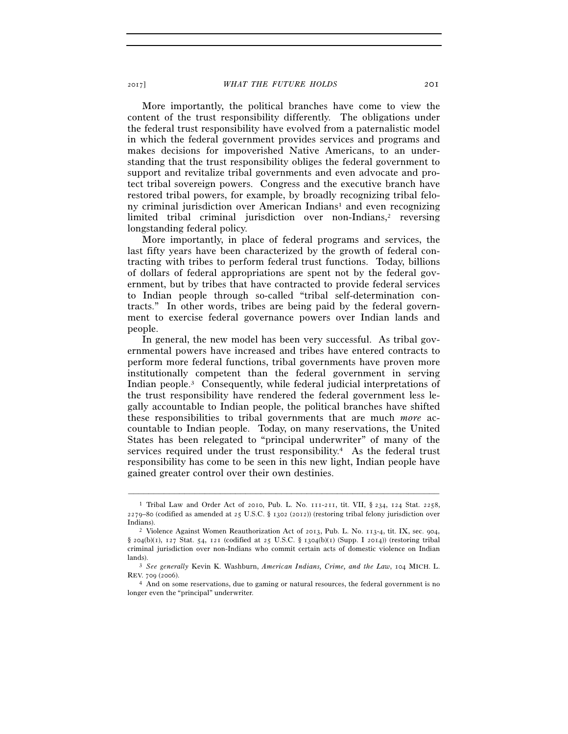More importantly, the political branches have come to view the content of the trust responsibility differently. The obligations under the federal trust responsibility have evolved from a paternalistic model in which the federal government provides services and programs and makes decisions for impoverished Native Americans, to an understanding that the trust responsibility obliges the federal government to support and revitalize tribal governments and even advocate and protect tribal sovereign powers. Congress and the executive branch have restored tribal powers, for example, by broadly recognizing tribal felony criminal jurisdiction over American Indians<sup>1</sup> and even recognizing limited tribal criminal jurisdiction over non-Indians,<sup>2</sup> reversing longstanding federal policy.

More importantly, in place of federal programs and services, the last fifty years have been characterized by the growth of federal contracting with tribes to perform federal trust functions. Today, billions of dollars of federal appropriations are spent not by the federal government, but by tribes that have contracted to provide federal services to Indian people through so-called "tribal self-determination contracts." In other words, tribes are being paid by the federal government to exercise federal governance powers over Indian lands and people.

In general, the new model has been very successful. As tribal governmental powers have increased and tribes have entered contracts to perform more federal functions, tribal governments have proven more institutionally competent than the federal government in serving Indian people.3 Consequently, while federal judicial interpretations of the trust responsibility have rendered the federal government less legally accountable to Indian people, the political branches have shifted these responsibilities to tribal governments that are much *more* accountable to Indian people. Today, on many reservations, the United States has been relegated to "principal underwriter" of many of the services required under the trust responsibility.<sup>4</sup> As the federal trust responsibility has come to be seen in this new light, Indian people have gained greater control over their own destinies.

<sup>1</sup> Tribal Law and Order Act of 2010, Pub. L. No. 111-211, tit. VII, § 234, 124 Stat. 2258, 2279–80 (codified as amended at 25 U.S.C. § 1302 (2012)) (restoring tribal felony jurisdiction over

Indians). 2 Violence Against Women Reauthorization Act of 2013, Pub. L. No. 113-4, tit. IX, sec. 904, § 204(b)(1), 127 Stat. 54, 121 (codified at 25 U.S.C. § 1304(b)(1) (Supp. I 2014)) (restoring tribal criminal jurisdiction over non-Indians who commit certain acts of domestic violence on Indian

lands). 3 *See generally* Kevin K. Washburn, *American Indians, Crime, and the Law*, 104 MICH. L.

<sup>&</sup>lt;sup>4</sup> And on some reservations, due to gaming or natural resources, the federal government is no longer even the "principal" underwriter.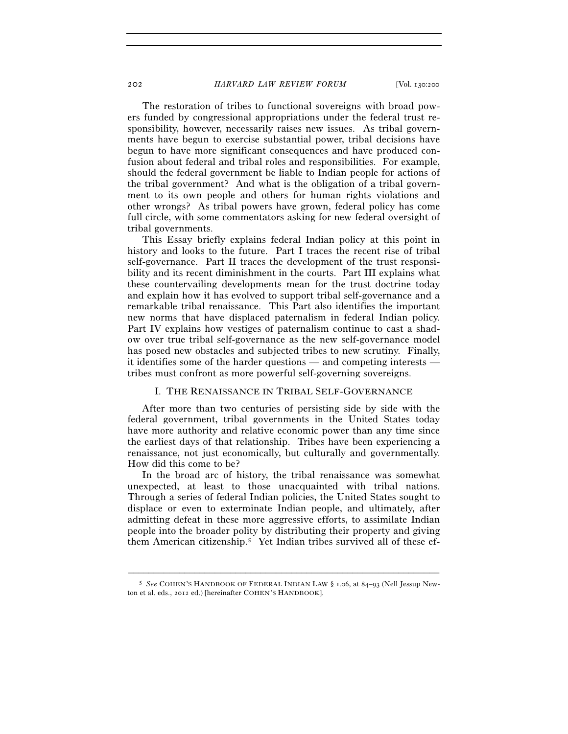The restoration of tribes to functional sovereigns with broad powers funded by congressional appropriations under the federal trust responsibility, however, necessarily raises new issues. As tribal governments have begun to exercise substantial power, tribal decisions have begun to have more significant consequences and have produced confusion about federal and tribal roles and responsibilities. For example, should the federal government be liable to Indian people for actions of the tribal government? And what is the obligation of a tribal government to its own people and others for human rights violations and other wrongs? As tribal powers have grown, federal policy has come full circle, with some commentators asking for new federal oversight of tribal governments.

This Essay briefly explains federal Indian policy at this point in history and looks to the future. Part I traces the recent rise of tribal self-governance. Part II traces the development of the trust responsibility and its recent diminishment in the courts. Part III explains what these countervailing developments mean for the trust doctrine today and explain how it has evolved to support tribal self-governance and a remarkable tribal renaissance. This Part also identifies the important new norms that have displaced paternalism in federal Indian policy. Part IV explains how vestiges of paternalism continue to cast a shadow over true tribal self-governance as the new self-governance model has posed new obstacles and subjected tribes to new scrutiny. Finally, it identifies some of the harder questions — and competing interests tribes must confront as more powerful self-governing sovereigns.

### I. THE RENAISSANCE IN TRIBAL SELF-GOVERNANCE

After more than two centuries of persisting side by side with the federal government, tribal governments in the United States today have more authority and relative economic power than any time since the earliest days of that relationship. Tribes have been experiencing a renaissance, not just economically, but culturally and governmentally. How did this come to be?

In the broad arc of history, the tribal renaissance was somewhat unexpected, at least to those unacquainted with tribal nations. Through a series of federal Indian policies, the United States sought to displace or even to exterminate Indian people, and ultimately, after admitting defeat in these more aggressive efforts, to assimilate Indian people into the broader polity by distributing their property and giving them American citizenship.5 Yet Indian tribes survived all of these ef-

<sup>–––––––––––––––––––––––––––––––––––––––––––––––––––––––––––––</sup> 5 *See* COHEN'S HANDBOOK OF FEDERAL INDIAN LAW § 1.06, at 84–93 (Nell Jessup Newton et al. eds., 2012 ed.) [hereinafter COHEN'S HANDBOOK].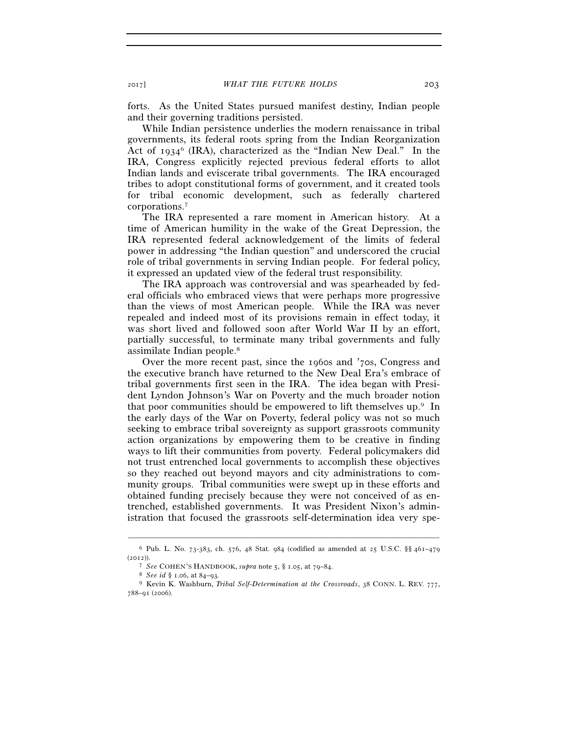forts. As the United States pursued manifest destiny, Indian people and their governing traditions persisted.

While Indian persistence underlies the modern renaissance in tribal governments, its federal roots spring from the Indian Reorganization Act of  $1934^6$  (IRA), characterized as the "Indian New Deal." In the IRA, Congress explicitly rejected previous federal efforts to allot Indian lands and eviscerate tribal governments. The IRA encouraged tribes to adopt constitutional forms of government, and it created tools for tribal economic development, such as federally chartered corporations.7

The IRA represented a rare moment in American history. At a time of American humility in the wake of the Great Depression, the IRA represented federal acknowledgement of the limits of federal power in addressing "the Indian question" and underscored the crucial role of tribal governments in serving Indian people. For federal policy, it expressed an updated view of the federal trust responsibility.

The IRA approach was controversial and was spearheaded by federal officials who embraced views that were perhaps more progressive than the views of most American people. While the IRA was never repealed and indeed most of its provisions remain in effect today, it was short lived and followed soon after World War II by an effort, partially successful, to terminate many tribal governments and fully assimilate Indian people.8

Over the more recent past, since the 1960s and '70s, Congress and the executive branch have returned to the New Deal Era's embrace of tribal governments first seen in the IRA. The idea began with President Lyndon Johnson's War on Poverty and the much broader notion that poor communities should be empowered to lift themselves up.9 In the early days of the War on Poverty, federal policy was not so much seeking to embrace tribal sovereignty as support grassroots community action organizations by empowering them to be creative in finding ways to lift their communities from poverty. Federal policymakers did not trust entrenched local governments to accomplish these objectives so they reached out beyond mayors and city administrations to community groups. Tribal communities were swept up in these efforts and obtained funding precisely because they were not conceived of as entrenched, established governments. It was President Nixon's administration that focused the grassroots self-determination idea very spe-

<sup>–––––––––––––––––––––––––––––––––––––––––––––––––––––––––––––</sup> 6 Pub. L. No. 73-383, ch. 576, 48 Stat. 984 (codified as amended at 25 U.S.C. §§ 461–479  $(2012)$ ).

<sup>7</sup> *See* COHEN'S HANDBOOK, *supra* note 5, § 1.05, at 79–84. 8 *See id* § 1.06, at 84–93*.* 

<sup>9</sup> Kevin K. Washburn, *Tribal Self-Determination at the Crossroads*, 38 CONN. L. REV. 777, 788–91 (2006).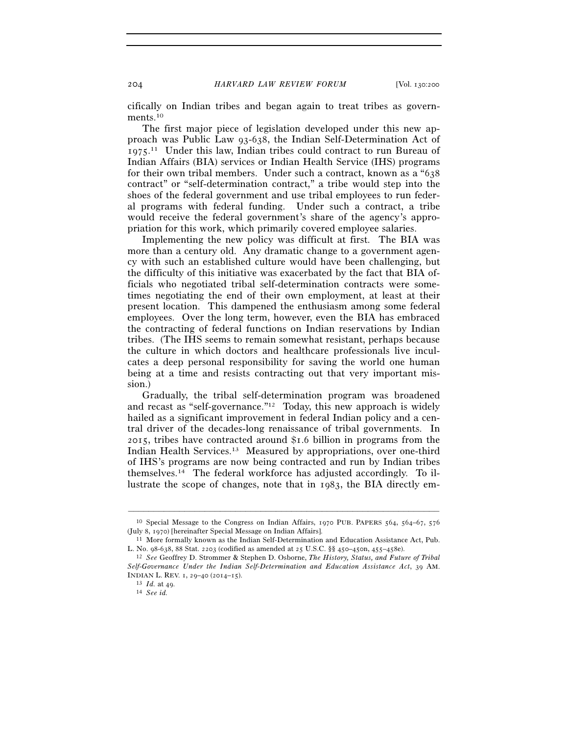cifically on Indian tribes and began again to treat tribes as governments.10

The first major piece of legislation developed under this new approach was Public Law 93-638, the Indian Self-Determination Act of 1975. 11 Under this law, Indian tribes could contract to run Bureau of Indian Affairs (BIA) services or Indian Health Service (IHS) programs for their own tribal members. Under such a contract, known as a "638 contract" or "self-determination contract," a tribe would step into the shoes of the federal government and use tribal employees to run federal programs with federal funding. Under such a contract, a tribe would receive the federal government's share of the agency's appropriation for this work, which primarily covered employee salaries.

Implementing the new policy was difficult at first. The BIA was more than a century old. Any dramatic change to a government agency with such an established culture would have been challenging, but the difficulty of this initiative was exacerbated by the fact that BIA officials who negotiated tribal self-determination contracts were sometimes negotiating the end of their own employment, at least at their present location. This dampened the enthusiasm among some federal employees. Over the long term, however, even the BIA has embraced the contracting of federal functions on Indian reservations by Indian tribes. (The IHS seems to remain somewhat resistant, perhaps because the culture in which doctors and healthcare professionals live inculcates a deep personal responsibility for saving the world one human being at a time and resists contracting out that very important mission.)

Gradually, the tribal self-determination program was broadened and recast as "self-governance."<sup>12</sup> Today, this new approach is widely hailed as a significant improvement in federal Indian policy and a central driver of the decades-long renaissance of tribal governments. In 2015, tribes have contracted around \$1.6 billion in programs from the Indian Health Services.13 Measured by appropriations, over one-third of IHS's programs are now being contracted and run by Indian tribes themselves.14 The federal workforce has adjusted accordingly. To illustrate the scope of changes, note that in 1983, the BIA directly em-

<sup>–––––––––––––––––––––––––––––––––––––––––––––––––––––––––––––</sup> <sup>10</sup> Special Message to the Congress on Indian Affairs, 1970 PUB. PAPERS 564, 564–67, 576 (July 8, 1970) [hereinafter Special Message on Indian Affairs].

 $11$  More formally known as the Indian Self-Determination and Education Assistance Act, Pub. L. No. 98-638, 88 Stat. 2203 (codified as amended at 25 U.S.C. §§ 450–450n, 455–458e). 12 *See* Geoffrey D. Strommer & Stephen D. Osborne, *The History, Status, and Future of Tribal* 

*Self-Governance Under the Indian Self-Determination and Education Assistance Act*, 39 AM. INDIAN L. REV. 1, 29–40 (2014–15). 13 *Id.* at 49. 14 *See id.*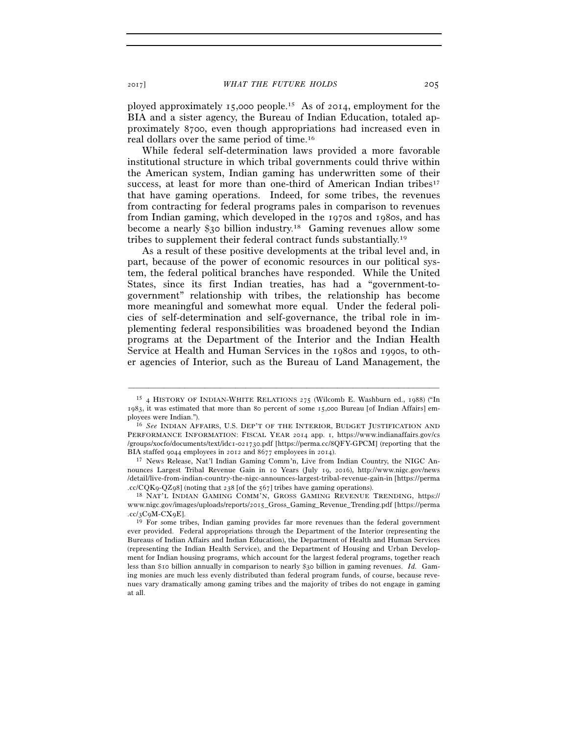ployed approximately 15,000 people.15 As of 2014, employment for the BIA and a sister agency, the Bureau of Indian Education, totaled approximately 8700, even though appropriations had increased even in real dollars over the same period of time.16

While federal self-determination laws provided a more favorable institutional structure in which tribal governments could thrive within the American system, Indian gaming has underwritten some of their success, at least for more than one-third of American Indian tribes<sup>17</sup> that have gaming operations. Indeed, for some tribes, the revenues from contracting for federal programs pales in comparison to revenues from Indian gaming, which developed in the 1970s and 1980s, and has become a nearly \$30 billion industry.18 Gaming revenues allow some tribes to supplement their federal contract funds substantially.19

As a result of these positive developments at the tribal level and, in part, because of the power of economic resources in our political system, the federal political branches have responded. While the United States, since its first Indian treaties, has had a "government-togovernment" relationship with tribes, the relationship has become more meaningful and somewhat more equal. Under the federal policies of self-determination and self-governance, the tribal role in implementing federal responsibilities was broadened beyond the Indian programs at the Department of the Interior and the Indian Health Service at Health and Human Services in the 1980s and 1990s, to other agencies of Interior, such as the Bureau of Land Management, the

<sup>15</sup> 4 HISTORY OF INDIAN-WHITE RELATIONS 275 (Wilcomb E. Washburn ed., 1988) ("In 1983, it was estimated that more than 80 percent of some 15,000 Bureau [of Indian Affairs] em-

<sup>&</sup>lt;sup>16</sup> See INDIAN AFFAIRS, U.S. DEP'T OF THE INTERIOR, BUDGET JUSTIFICATION AND PERFORMANCE INFORMATION: FISCAL YEAR 2014 app. 1, https://www.indianaffairs.gov/cs /groups/xocfo/documents/text/idc1-021730.pdf [https://perma.cc/8QFY-GPCM] (reporting that the BIA staffed 9044 employees in 2012 and 8677 employees in 2014).<br><sup>17</sup> News Release, Nat'l Indian Gaming Comm'n, Live from Indian Country, the NIGC An-

nounces Largest Tribal Revenue Gain in 10 Years (July 19, 2016), http://www.nigc.gov/news /detail/live-from-indian-country-the-nigc-announces-largest-tribal-revenue-gain-in [https://perma .cc/CQK9-QZ98] (noting that 238 [of the 567] tribes have gaming operations). 18 NAT'L INDIAN GAMING COMM'N, GROSS GAMING REVENUE TRENDING, https://

www.nigc.gov/images/uploads/reports/2015\_Gross\_Gaming\_Revenue\_Trending.pdf [https://perma .cc/3C9M-CX9E].<br><sup>19</sup> For some tribes, Indian gaming provides far more revenues than the federal government

ever provided. Federal appropriations through the Department of the Interior (representing the Bureaus of Indian Affairs and Indian Education), the Department of Health and Human Services (representing the Indian Health Service), and the Department of Housing and Urban Development for Indian housing programs, which account for the largest federal programs, together reach less than \$10 billion annually in comparison to nearly \$30 billion in gaming revenues. *Id.* Gaming monies are much less evenly distributed than federal program funds, of course, because revenues vary dramatically among gaming tribes and the majority of tribes do not engage in gaming at all.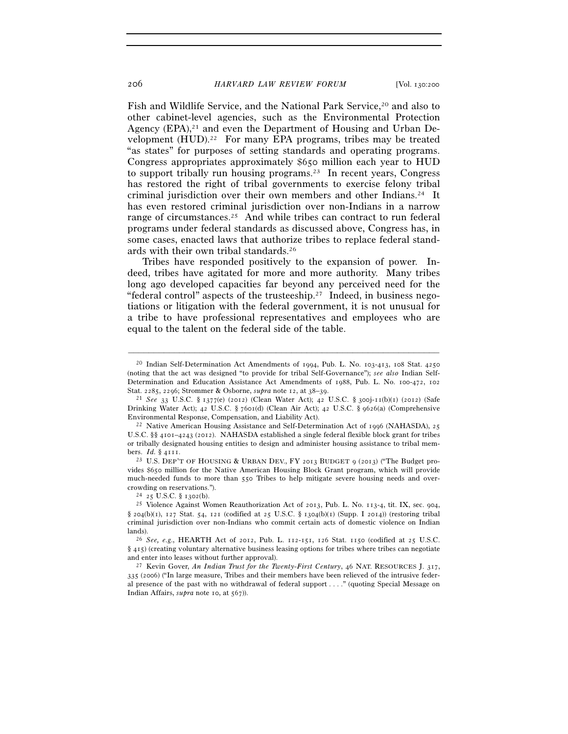Fish and Wildlife Service, and the National Park Service,<sup>20</sup> and also to other cabinet-level agencies, such as the Environmental Protection Agency  $(EPA)^{21}$  and even the Department of Housing and Urban Development  $(HUD)$ .<sup>22</sup> For many EPA programs, tribes may be treated "as states" for purposes of setting standards and operating programs. Congress appropriates approximately \$650 million each year to HUD to support tribally run housing programs.23 In recent years, Congress has restored the right of tribal governments to exercise felony tribal criminal jurisdiction over their own members and other Indians.24 It has even restored criminal jurisdiction over non-Indians in a narrow range of circumstances.25 And while tribes can contract to run federal programs under federal standards as discussed above, Congress has, in some cases, enacted laws that authorize tribes to replace federal standards with their own tribal standards.26

Tribes have responded positively to the expansion of power. Indeed, tribes have agitated for more and more authority. Many tribes long ago developed capacities far beyond any perceived need for the "federal control" aspects of the trusteeship.<sup>27</sup> Indeed, in business negotiations or litigation with the federal government, it is not unusual for a tribe to have professional representatives and employees who are equal to the talent on the federal side of the table.

–––––––––––––––––––––––––––––––––––––––––––––––––––––––––––––

vides \$650 million for the Native American Housing Block Grant program, which will provide much-needed funds to more than 550 Tribes to help mitigate severe housing needs and over-<br>crowding on reservations.").

<sup>20</sup> Indian Self-Determination Act Amendments of 1994, Pub. L. No. 103-413, 108 Stat. 4250 (noting that the act was designed "to provide for tribal Self-Governance"); *see also* Indian Self-Determination and Education Assistance Act Amendments of 1988, Pub. L. No. 100-472, 102 Stat. 2285, 2296; Strommer & Osborne, *supra* note 12, at 38–39. 21 *See* <sup>33</sup> U.S.C. § 1377(e) (2012) (Clean Water Act); 42 U.S.C. § 300j-11(b)(1) (2012) (Safe

Drinking Water Act); 42 U.S.C. § 7601(d) (Clean Air Act); 42 U.S.C. § 9626(a) (Comprehensive Environmental Response, Compensation, and Liability Act).<br><sup>22</sup> Native American Housing Assistance and Self-Determination Act of 1996 (NAHASDA), 25

U.S.C. §§ 4101–4243 (2012). NAHASDA established a single federal flexible block grant for tribes or tribally designated housing entities to design and administer housing assistance to tribal members. *Id.* § 4111.<br><sup>23</sup> U.S. DEP'T OF HOUSING & URBAN DEV., FY 2013 BUDGET 9 (2013) ("The Budget pro-

<sup>&</sup>lt;sup>24</sup> 25 U.S.C. § 1302(b). 25 Violence Against Women Reauthorization Act of 2013, Pub. L. No. 113-4, tit. IX, sec. 904, § 204(b)(1), 127 Stat. 54, 121 (codified at 25 U.S.C. § 1304(b)(1) (Supp. I 2014)) (restoring tribal criminal jurisdiction over non-Indians who commit certain acts of domestic violence on Indian lands). 26 *See, e.g*., HEARTH Act of 2012, Pub. L. 112-151, 126 Stat. 1150 (codified at 25 U.S.C.

<sup>§</sup> 415) (creating voluntary alternative business leasing options for tribes where tribes can negotiate and enter into leases without further approval).<br><sup>27</sup> Kevin Gover, *An Indian Trust for the Twenty-First Century*, 46 NAT. RESOURCES J. 317,

<sup>335</sup> (2006) ("In large measure, Tribes and their members have been relieved of the intrusive federal presence of the past with no withdrawal of federal support . . . ." (quoting Special Message on Indian Affairs, *supra* note 10, at 567)).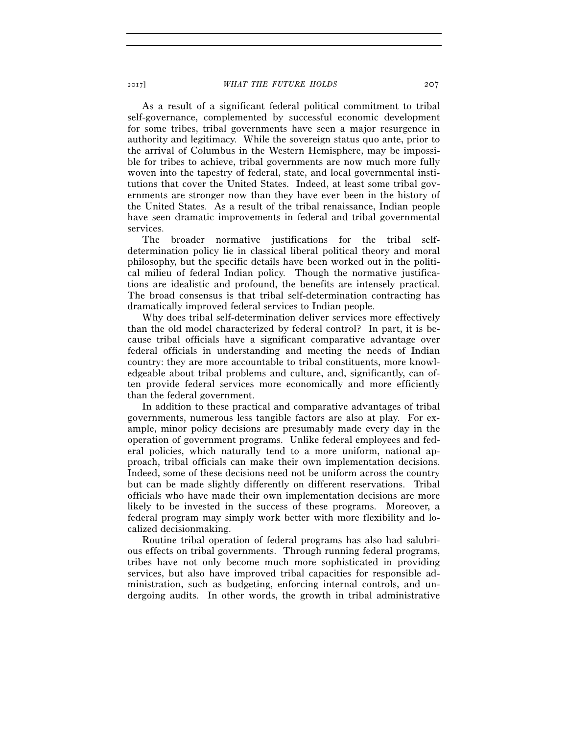As a result of a significant federal political commitment to tribal self-governance, complemented by successful economic development for some tribes, tribal governments have seen a major resurgence in authority and legitimacy. While the sovereign status quo ante, prior to the arrival of Columbus in the Western Hemisphere, may be impossible for tribes to achieve, tribal governments are now much more fully woven into the tapestry of federal, state, and local governmental institutions that cover the United States. Indeed, at least some tribal governments are stronger now than they have ever been in the history of the United States. As a result of the tribal renaissance, Indian people have seen dramatic improvements in federal and tribal governmental services.

The broader normative justifications for the tribal selfdetermination policy lie in classical liberal political theory and moral philosophy, but the specific details have been worked out in the political milieu of federal Indian policy. Though the normative justifications are idealistic and profound, the benefits are intensely practical. The broad consensus is that tribal self-determination contracting has dramatically improved federal services to Indian people.

Why does tribal self-determination deliver services more effectively than the old model characterized by federal control? In part, it is because tribal officials have a significant comparative advantage over federal officials in understanding and meeting the needs of Indian country: they are more accountable to tribal constituents, more knowledgeable about tribal problems and culture, and, significantly, can often provide federal services more economically and more efficiently than the federal government.

In addition to these practical and comparative advantages of tribal governments, numerous less tangible factors are also at play. For example, minor policy decisions are presumably made every day in the operation of government programs. Unlike federal employees and federal policies, which naturally tend to a more uniform, national approach, tribal officials can make their own implementation decisions. Indeed, some of these decisions need not be uniform across the country but can be made slightly differently on different reservations. Tribal officials who have made their own implementation decisions are more likely to be invested in the success of these programs. Moreover, a federal program may simply work better with more flexibility and localized decisionmaking.

Routine tribal operation of federal programs has also had salubrious effects on tribal governments. Through running federal programs, tribes have not only become much more sophisticated in providing services, but also have improved tribal capacities for responsible administration, such as budgeting, enforcing internal controls, and undergoing audits. In other words, the growth in tribal administrative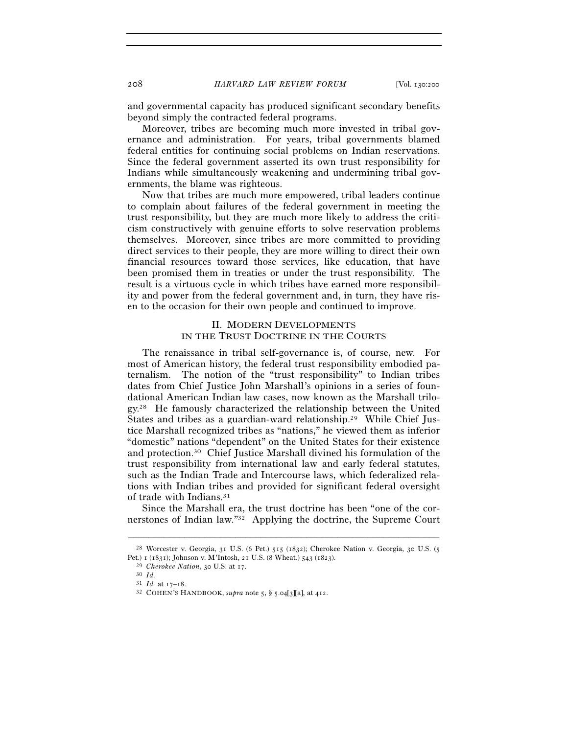and governmental capacity has produced significant secondary benefits beyond simply the contracted federal programs.

Moreover, tribes are becoming much more invested in tribal governance and administration. For years, tribal governments blamed federal entities for continuing social problems on Indian reservations. Since the federal government asserted its own trust responsibility for Indians while simultaneously weakening and undermining tribal governments, the blame was righteous.

Now that tribes are much more empowered, tribal leaders continue to complain about failures of the federal government in meeting the trust responsibility, but they are much more likely to address the criticism constructively with genuine efforts to solve reservation problems themselves. Moreover, since tribes are more committed to providing direct services to their people, they are more willing to direct their own financial resources toward those services, like education, that have been promised them in treaties or under the trust responsibility. The result is a virtuous cycle in which tribes have earned more responsibility and power from the federal government and, in turn, they have risen to the occasion for their own people and continued to improve.

# II. MODERN DEVELOPMENTS IN THE TRUST DOCTRINE IN THE COURTS

The renaissance in tribal self-governance is, of course, new. For most of American history, the federal trust responsibility embodied paternalism. The notion of the "trust responsibility" to Indian tribes dates from Chief Justice John Marshall's opinions in a series of foundational American Indian law cases, now known as the Marshall trilogy.28 He famously characterized the relationship between the United States and tribes as a guardian-ward relationship.<sup>29</sup> While Chief Justice Marshall recognized tribes as "nations," he viewed them as inferior "domestic" nations "dependent" on the United States for their existence and protection.30 Chief Justice Marshall divined his formulation of the trust responsibility from international law and early federal statutes, such as the Indian Trade and Intercourse laws, which federalized relations with Indian tribes and provided for significant federal oversight of trade with Indians.31

Since the Marshall era, the trust doctrine has been "one of the cornerstones of Indian law."32 Applying the doctrine, the Supreme Court

<sup>–––––––––––––––––––––––––––––––––––––––––––––––––––––––––––––</sup> 28 Worcester v. Georgia, 31 U.S. (6 Pet.) 515 (1832); Cherokee Nation v. Georgia, 30 U.S. (5 Pet.) 1 (1831); Johnson v. M'Intosh, 21 U.S. (8 Wheat.) 543 (1823). 29 *Cherokee Nation*, 30 U.S. at 17. 30 *Id.*

<sup>&</sup>lt;sup>32</sup> COHEN'S HANDBOOK, *supra* note 5, § 5.04[3][a], at 412.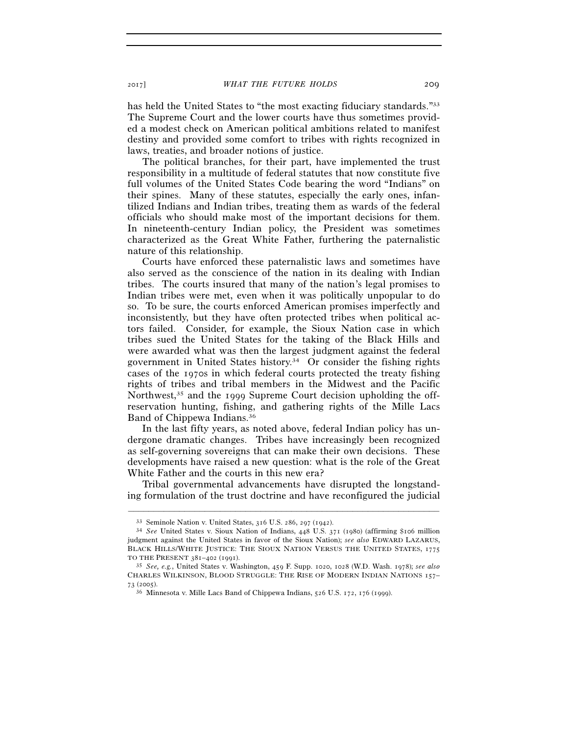has held the United States to "the most exacting fiduciary standards."33 The Supreme Court and the lower courts have thus sometimes provided a modest check on American political ambitions related to manifest destiny and provided some comfort to tribes with rights recognized in laws, treaties, and broader notions of justice.

The political branches, for their part, have implemented the trust responsibility in a multitude of federal statutes that now constitute five full volumes of the United States Code bearing the word "Indians" on their spines. Many of these statutes, especially the early ones, infantilized Indians and Indian tribes, treating them as wards of the federal officials who should make most of the important decisions for them. In nineteenth-century Indian policy, the President was sometimes characterized as the Great White Father, furthering the paternalistic nature of this relationship.

Courts have enforced these paternalistic laws and sometimes have also served as the conscience of the nation in its dealing with Indian tribes. The courts insured that many of the nation's legal promises to Indian tribes were met, even when it was politically unpopular to do so. To be sure, the courts enforced American promises imperfectly and inconsistently, but they have often protected tribes when political actors failed. Consider, for example, the Sioux Nation case in which tribes sued the United States for the taking of the Black Hills and were awarded what was then the largest judgment against the federal government in United States history.34 Or consider the fishing rights cases of the 1970s in which federal courts protected the treaty fishing rights of tribes and tribal members in the Midwest and the Pacific Northwest,<sup>35</sup> and the 1999 Supreme Court decision upholding the offreservation hunting, fishing, and gathering rights of the Mille Lacs Band of Chippewa Indians.36

In the last fifty years, as noted above, federal Indian policy has undergone dramatic changes. Tribes have increasingly been recognized as self-governing sovereigns that can make their own decisions. These developments have raised a new question: what is the role of the Great White Father and the courts in this new era?

Tribal governmental advancements have disrupted the longstanding formulation of the trust doctrine and have reconfigured the judicial

<sup>33</sup> Seminole Nation v. United States, 316 U.S. 286, 297 (1942). 34 *See* United States v. Sioux Nation of Indians, 448 U.S. 371 (1980) (affirming \$106 million judgment against the United States in favor of the Sioux Nation); *see also* EDWARD LAZARUS, BLACK HILLS/WHITE JUSTICE: THE SIOUX NATION VERSUS THE UNITED STATES, 1775 TO THE PRESENT <sup>381</sup>–402 (1991). 35 *See, e.g.*, United States v. Washington, 459 F. Supp. 1020, 1028 (W.D. Wash. 1978); *see also*

CHARLES WILKINSON, BLOOD STRUGGLE: THE RISE OF MODERN INDIAN NATIONS 157–  $73$  (2005).  $^{36}$  Minnesota v. Mille Lacs Band of Chippewa Indians, 526 U.S. 172, 176 (1999).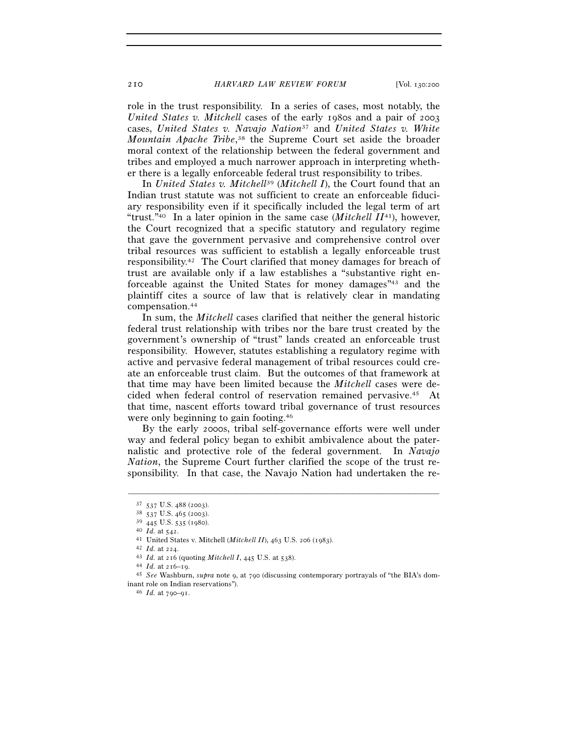210 *HARVARD LAW REVIEW FORUM* [Vol. 130:200

role in the trust responsibility. In a series of cases, most notably, the *United States v. Mitchell* cases of the early 1980s and a pair of 2003 cases, *United States v. Navajo Nation*37 and *United States v. White Mountain Apache Tribe*, 38 the Supreme Court set aside the broader moral context of the relationship between the federal government and tribes and employed a much narrower approach in interpreting whether there is a legally enforceable federal trust responsibility to tribes.

In *United States v. Mitchell*39 (*Mitchell I*), the Court found that an Indian trust statute was not sufficient to create an enforceable fiduciary responsibility even if it specifically included the legal term of art "trust."40 In a later opinion in the same case (*Mitchell II*41), however, the Court recognized that a specific statutory and regulatory regime that gave the government pervasive and comprehensive control over tribal resources was sufficient to establish a legally enforceable trust responsibility.42 The Court clarified that money damages for breach of trust are available only if a law establishes a "substantive right enforceable against the United States for money damages"43 and the plaintiff cites a source of law that is relatively clear in mandating compensation.44

In sum, the *Mitchell* cases clarified that neither the general historic federal trust relationship with tribes nor the bare trust created by the government's ownership of "trust" lands created an enforceable trust responsibility. However, statutes establishing a regulatory regime with active and pervasive federal management of tribal resources could create an enforceable trust claim. But the outcomes of that framework at that time may have been limited because the *Mitchell* cases were decided when federal control of reservation remained pervasive.45 At that time, nascent efforts toward tribal governance of trust resources were only beginning to gain footing.46

By the early 2000s, tribal self-governance efforts were well under way and federal policy began to exhibit ambivalence about the paternalistic and protective role of the federal government. In *Navajo Nation*, the Supreme Court further clarified the scope of the trust responsibility. In that case, the Navajo Nation had undertaken the re-

<sup>&</sup>lt;sup>37</sup> 537 U.S. 488 (2003).<br><sup>38</sup> 537 U.S. 465 (2003).<br><sup>39</sup> 445 U.S. 535 (1980).<br><sup>40</sup> *Id.* at 542.<br><sup>41</sup> United States v. Mitchell (*Mitchell II*), 463 U.S. 206 (1983).<br><sup>42</sup> *Id.* at 224.<br><sup>43</sup> *Id.* at 216 (quoting *Mitchell* inant role on Indian reservations"). 46 *Id.* at 790–91.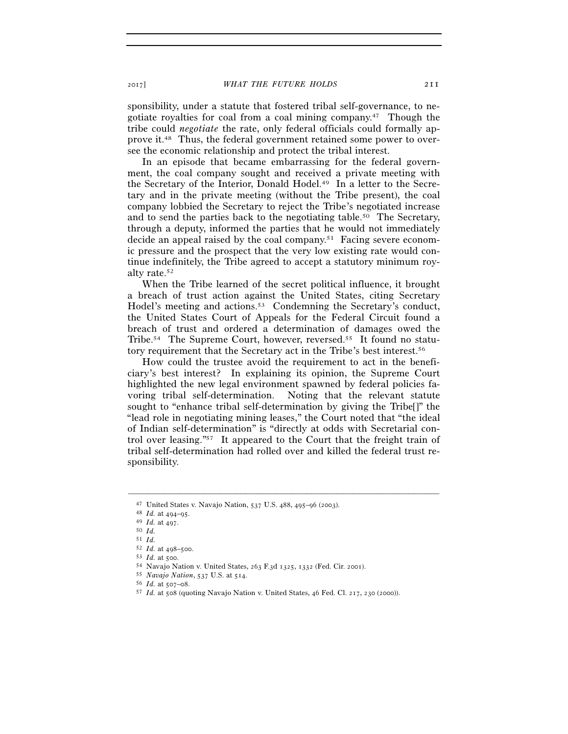sponsibility, under a statute that fostered tribal self-governance, to negotiate royalties for coal from a coal mining company.47 Though the tribe could *negotiate* the rate, only federal officials could formally approve it.48 Thus, the federal government retained some power to oversee the economic relationship and protect the tribal interest.

In an episode that became embarrassing for the federal government, the coal company sought and received a private meeting with the Secretary of the Interior, Donald Hodel.49 In a letter to the Secretary and in the private meeting (without the Tribe present), the coal company lobbied the Secretary to reject the Tribe's negotiated increase and to send the parties back to the negotiating table.<sup>50</sup> The Secretary, through a deputy, informed the parties that he would not immediately decide an appeal raised by the coal company.51 Facing severe economic pressure and the prospect that the very low existing rate would continue indefinitely, the Tribe agreed to accept a statutory minimum royalty rate.52

When the Tribe learned of the secret political influence, it brought a breach of trust action against the United States, citing Secretary Hodel's meeting and actions.53 Condemning the Secretary's conduct, the United States Court of Appeals for the Federal Circuit found a breach of trust and ordered a determination of damages owed the Tribe.54 The Supreme Court, however, reversed.55 It found no statutory requirement that the Secretary act in the Tribe's best interest.<sup>56</sup>

How could the trustee avoid the requirement to act in the beneficiary's best interest? In explaining its opinion, the Supreme Court highlighted the new legal environment spawned by federal policies favoring tribal self-determination. Noting that the relevant statute sought to "enhance tribal self-determination by giving the Tribe[]" the "lead role in negotiating mining leases," the Court noted that "the ideal of Indian self-determination" is "directly at odds with Secretarial control over leasing."57 It appeared to the Court that the freight train of tribal self-determination had rolled over and killed the federal trust responsibility.

<sup>47</sup> United States v. Navajo Nation, 537 U.S. 488, 495–96 (2003). 48 *Id.* at 494–95. 49 *Id.* at 497. 50 *Id.* 

 $\frac{51}{52}$  *Id.* at 498–500.

<sup>53</sup>  $Id$ . at 500.<br>
54 Navajo Nation v. United States, 263 F.3d 1325, 1332 (Fed. Cir. 2001).<br>
55 *Navajo Nation*, 537 U.S. at 514.<br>
56  $Id$ . at 507–08.<br>
57  $Id$ . at 508 (quoting Navajo Nation v. United States, 46 Fed. Cl. 217,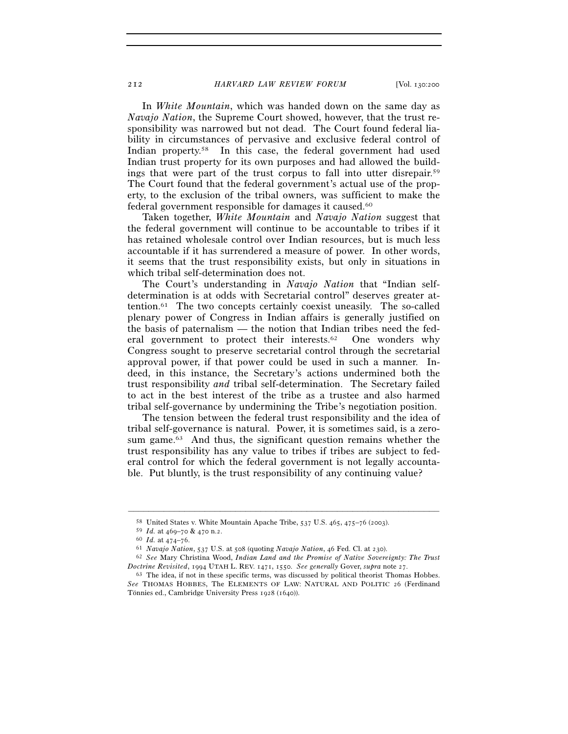In *White Mountain*, which was handed down on the same day as *Navajo Nation*, the Supreme Court showed, however, that the trust responsibility was narrowed but not dead. The Court found federal liability in circumstances of pervasive and exclusive federal control of Indian property.<sup>58</sup> In this case, the federal government had used Indian trust property for its own purposes and had allowed the buildings that were part of the trust corpus to fall into utter disrepair.59 The Court found that the federal government's actual use of the property, to the exclusion of the tribal owners, was sufficient to make the federal government responsible for damages it caused.60

Taken together, *White Mountain* and *Navajo Nation* suggest that the federal government will continue to be accountable to tribes if it has retained wholesale control over Indian resources, but is much less accountable if it has surrendered a measure of power. In other words, it seems that the trust responsibility exists, but only in situations in which tribal self-determination does not.

The Court's understanding in *Navajo Nation* that "Indian selfdetermination is at odds with Secretarial control" deserves greater attention.61 The two concepts certainly coexist uneasily. The so-called plenary power of Congress in Indian affairs is generally justified on the basis of paternalism — the notion that Indian tribes need the federal government to protect their interests.62 One wonders why Congress sought to preserve secretarial control through the secretarial approval power, if that power could be used in such a manner. Indeed, in this instance, the Secretary's actions undermined both the trust responsibility *and* tribal self-determination. The Secretary failed to act in the best interest of the tribe as a trustee and also harmed tribal self-governance by undermining the Tribe's negotiation position.

The tension between the federal trust responsibility and the idea of tribal self-governance is natural. Power, it is sometimes said, is a zerosum game.<sup>63</sup> And thus, the significant question remains whether the trust responsibility has any value to tribes if tribes are subject to federal control for which the federal government is not legally accountable. Put bluntly, is the trust responsibility of any continuing value?

 $^{58}$  United States v. White Mountain Apache Tribe, 537 U.S. 465, 475–76 (2003).  $^{59}$   $\emph{Id.}$  at 469–70 & 470 n.2.

<sup>&</sup>lt;sup>60</sup> Id. at 474–76.<br><sup>61</sup> Navajo Nation, 537 U.S. at 508 (quoting Navajo Nation, 46 Fed. Cl. at 230).<br><sup>62</sup> See Mary Christina Wood, Indian Land and the Promise of Native Sovereignty: The Trust *Doctrine Revisited*, 1994 UTAH L. REV. 1471, 1550. *See generally* Gover, *supra* note 27.<br><sup>63</sup> The idea, if not in these specific terms, was discussed by political theorist Thomas Hobbes.

*See* THOMAS HOBBES, The ELEMENTS OF LAW: NATURAL AND POLITIC 26 (Ferdinand Tönnies ed., Cambridge University Press 1928 (1640)).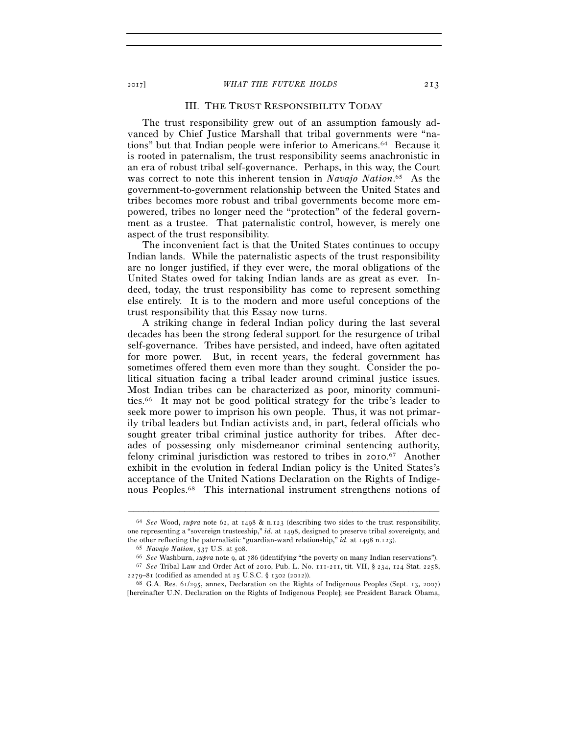#### 2017] *WHAT THE FUTURE HOLDS* 213

### III. THE TRUST RESPONSIBILITY TODAY

The trust responsibility grew out of an assumption famously advanced by Chief Justice Marshall that tribal governments were "nations" but that Indian people were inferior to Americans.64 Because it is rooted in paternalism, the trust responsibility seems anachronistic in an era of robust tribal self-governance. Perhaps, in this way, the Court was correct to note this inherent tension in *Navajo Nation*. 65 As the government-to-government relationship between the United States and tribes becomes more robust and tribal governments become more empowered, tribes no longer need the "protection" of the federal government as a trustee. That paternalistic control, however, is merely one aspect of the trust responsibility.

The inconvenient fact is that the United States continues to occupy Indian lands. While the paternalistic aspects of the trust responsibility are no longer justified, if they ever were, the moral obligations of the United States owed for taking Indian lands are as great as ever. Indeed, today, the trust responsibility has come to represent something else entirely. It is to the modern and more useful conceptions of the trust responsibility that this Essay now turns.

A striking change in federal Indian policy during the last several decades has been the strong federal support for the resurgence of tribal self-governance. Tribes have persisted, and indeed, have often agitated for more power. But, in recent years, the federal government has sometimes offered them even more than they sought. Consider the political situation facing a tribal leader around criminal justice issues. Most Indian tribes can be characterized as poor, minority communities.66 It may not be good political strategy for the tribe's leader to seek more power to imprison his own people. Thus, it was not primarily tribal leaders but Indian activists and, in part, federal officials who sought greater tribal criminal justice authority for tribes. After decades of possessing only misdemeanor criminal sentencing authority, felony criminal jurisdiction was restored to tribes in 2010. 67 Another exhibit in the evolution in federal Indian policy is the United States's acceptance of the United Nations Declaration on the Rights of Indigenous Peoples.68 This international instrument strengthens notions of

<sup>64</sup> *See* Wood, *supra* note 62, at 1498 & n.123 (describing two sides to the trust responsibility, one representing a "sovereign trusteeship," *id.* at 1498, designed to preserve tribal sovereignty, and

the other reflecting the paternalistic "guardian-ward relationship," *id.* at 1498 n.123).<br>
<sup>65</sup> *Navajo Nation*, 537 U.S. at 508.<br>
<sup>66</sup> *See* Washburn, *supra* note 9, at 786 (identifying "the poverty on many Indian rese

<sup>&</sup>lt;sup>68</sup> G.A. Res. 61/295, annex, Declaration on the Rights of Indigenous Peoples (Sept. 13, 2007) [hereinafter U.N. Declaration on the Rights of Indigenous People]; see President Barack Obama,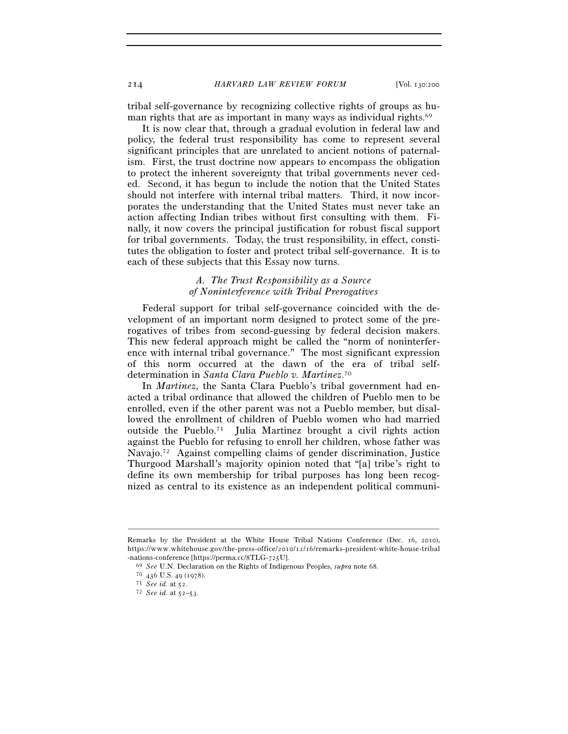214 *HARVARD LAW REVIEW FORUM* [Vol. 130:200

tribal self-governance by recognizing collective rights of groups as human rights that are as important in many ways as individual rights.<sup>69</sup>

It is now clear that, through a gradual evolution in federal law and policy, the federal trust responsibility has come to represent several significant principles that are unrelated to ancient notions of paternalism. First, the trust doctrine now appears to encompass the obligation to protect the inherent sovereignty that tribal governments never ceded. Second, it has begun to include the notion that the United States should not interfere with internal tribal matters. Third, it now incorporates the understanding that the United States must never take an action affecting Indian tribes without first consulting with them. Finally, it now covers the principal justification for robust fiscal support for tribal governments. Today, the trust responsibility, in effect, constitutes the obligation to foster and protect tribal self-governance. It is to each of these subjects that this Essay now turns.

### *A. The Trust Responsibility as a Source of Noninterference with Tribal Prerogatives*

Federal support for tribal self-governance coincided with the development of an important norm designed to protect some of the prerogatives of tribes from second-guessing by federal decision makers. This new federal approach might be called the "norm of noninterference with internal tribal governance." The most significant expression of this norm occurred at the dawn of the era of tribal selfdetermination in *Santa Clara Pueblo v. Martinez*. 70

In *Martinez*, the Santa Clara Pueblo's tribal government had enacted a tribal ordinance that allowed the children of Pueblo men to be enrolled, even if the other parent was not a Pueblo member, but disallowed the enrollment of children of Pueblo women who had married outside the Pueblo.71 Julia Martinez brought a civil rights action against the Pueblo for refusing to enroll her children, whose father was Navajo.72 Against compelling claims of gender discrimination, Justice Thurgood Marshall's majority opinion noted that "[a] tribe's right to define its own membership for tribal purposes has long been recognized as central to its existence as an independent political communi-

Remarks by the President at the White House Tribal Nations Conference (Dec. 16, 2010), https://www.whitehouse.gov/the-press-office/2010/12/16/remarks-president-white-house-tribal -nations-conference [https://perma.cc/8TLG-725U]. 69 *See* U.N. Declaration on the Rights of Indigenous Peoples, *supra* note 68. 70 <sup>436</sup> U.S. 49 (1978). 71 *See id.* at 52. 72 *See id.* at 52–53.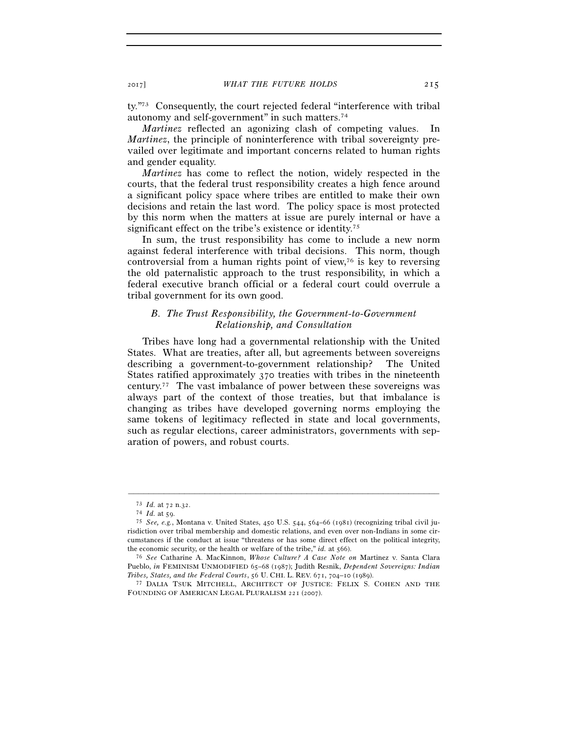ty."73 Consequently, the court rejected federal "interference with tribal autonomy and self-government" in such matters.74

*Martinez* reflected an agonizing clash of competing values. In *Martinez*, the principle of noninterference with tribal sovereignty prevailed over legitimate and important concerns related to human rights and gender equality.

*Martinez* has come to reflect the notion, widely respected in the courts, that the federal trust responsibility creates a high fence around a significant policy space where tribes are entitled to make their own decisions and retain the last word. The policy space is most protected by this norm when the matters at issue are purely internal or have a significant effect on the tribe's existence or identity.<sup>75</sup>

In sum, the trust responsibility has come to include a new norm against federal interference with tribal decisions. This norm, though controversial from a human rights point of view,<sup>76</sup> is key to reversing the old paternalistic approach to the trust responsibility, in which a federal executive branch official or a federal court could overrule a tribal government for its own good.

# *B. The Trust Responsibility, the Government-to-Government Relationship, and Consultation*

Tribes have long had a governmental relationship with the United States. What are treaties, after all, but agreements between sovereigns describing a government-to-government relationship? The United States ratified approximately 370 treaties with tribes in the nineteenth century.77 The vast imbalance of power between these sovereigns was always part of the context of those treaties, but that imbalance is changing as tribes have developed governing norms employing the same tokens of legitimacy reflected in state and local governments, such as regular elections, career administrators, governments with separation of powers, and robust courts.

<sup>73</sup> *Id.* at 72 n.32. 74 *Id.* at 59. 75 *See, e.g.*, Montana v. United States, 450 U.S. 544, 564–66 (1981) (recognizing tribal civil jurisdiction over tribal membership and domestic relations, and even over non-Indians in some circumstances if the conduct at issue "threatens or has some direct effect on the political integrity, the economic security, or the health or welfare of the tribe,"  $id$ . at 566).

the economic security, or the health or welfare of the tribe," *id.* at 566). 76 *See* Catharine A. MacKinnon, *Whose Culture? A Case Note on* Martinez v. Santa Clara Pueblo, *in* FEMINISM UNMODIFIED 65–68 (1987); Judith Resnik, *Dependent Sovereigns: Indian Tribes, States, and the Federal Courts,* 56 U. CHI. L. REV. 671, 704–10 (1989).

<sup>&</sup>lt;sup>77</sup> DALIA TSUK MITCHELL, ARCHITECT OF JUSTICE: FELIX S. COHEN AND THE FOUNDING OF AMERICAN LEGAL PLURALISM 221 (2007).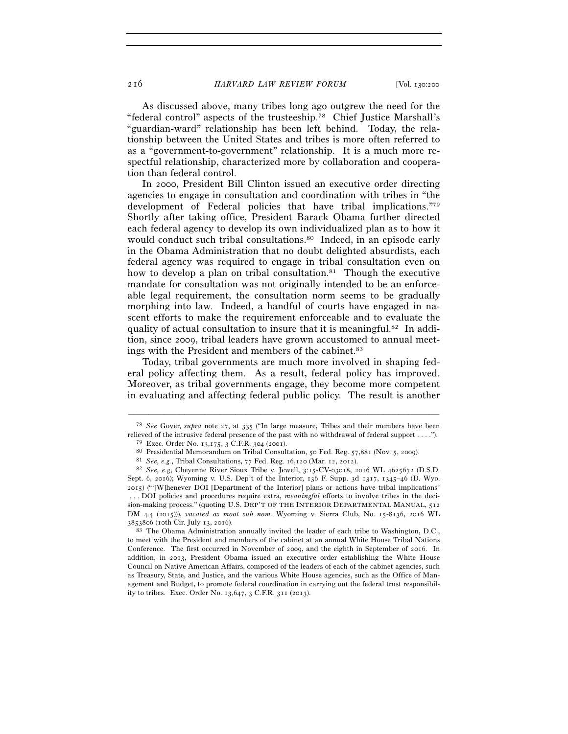As discussed above, many tribes long ago outgrew the need for the "federal control" aspects of the trusteeship.78 Chief Justice Marshall's "guardian-ward" relationship has been left behind. Today, the relationship between the United States and tribes is more often referred to as a "government-to-government" relationship. It is a much more respectful relationship, characterized more by collaboration and cooperation than federal control.

In 2000, President Bill Clinton issued an executive order directing agencies to engage in consultation and coordination with tribes in "the development of Federal policies that have tribal implications."79 Shortly after taking office, President Barack Obama further directed each federal agency to develop its own individualized plan as to how it would conduct such tribal consultations.<sup>80</sup> Indeed, in an episode early in the Obama Administration that no doubt delighted absurdists, each federal agency was required to engage in tribal consultation even on how to develop a plan on tribal consultation.<sup>81</sup> Though the executive mandate for consultation was not originally intended to be an enforceable legal requirement, the consultation norm seems to be gradually morphing into law. Indeed, a handful of courts have engaged in nascent efforts to make the requirement enforceable and to evaluate the quality of actual consultation to insure that it is meaningful.82 In addition, since 2009, tribal leaders have grown accustomed to annual meetings with the President and members of the cabinet.<sup>83</sup>

Today, tribal governments are much more involved in shaping federal policy affecting them. As a result, federal policy has improved. Moreover, as tribal governments engage, they become more competent in evaluating and affecting federal public policy. The result is another

<sup>78</sup> *See* Gover, *supra* note 27, at 335 ("In large measure, Tribes and their members have been relieved of the intrusive federal presence of the past with no withdrawal of federal support . . . .").<br><sup>79</sup> Exec. Order No. 13,175, 3 C.F.R. 304 (2001).

<sup>&</sup>lt;sup>80</sup> Presidential Memorandum on Tribal Consultation, 50 Fed. Reg. 57,881 (Nov. 5, 2009).<br><sup>81</sup> *See, e.g.*, Tribal Consultations, 77 Fed. Reg. 16,120 (Mar. 12, 2012).<br><sup>82</sup> *See, e.g.*, Cheyenne River Sioux Tribe v. Jewell, Sept. 6, 2016); Wyoming v. U.S. Dep't of the Interior, 136 F. Supp. 3d 1317, 1345–46 (D. Wyo. 2015) ("'[W]henever DOI [Department of the Interior] plans or actions have tribal implications' . . . DOI policies and procedures require extra, *meaningful* efforts to involve tribes in the decision-making process." (quoting U.S. DEP'T OF THE INTERIOR DEPARTMENTAL MANUAL, 512 DM 4.4 (2015))), *vacated as moot sub nom.* Wyoming v. Sierra Club, No. 15-8136, 2016 WL  $3853806$  (10th Cir. July 13, 2016).<br><sup>83</sup> The Obama Administration annually invited the leader of each tribe to Washington, D.C.,

to meet with the President and members of the cabinet at an annual White House Tribal Nations Conference. The first occurred in November of 2009, and the eighth in September of 2016. In addition, in 2013, President Obama issued an executive order establishing the White House Council on Native American Affairs, composed of the leaders of each of the cabinet agencies, such as Treasury, State, and Justice, and the various White House agencies, such as the Office of Management and Budget, to promote federal coordination in carrying out the federal trust responsibility to tribes. Exec. Order No. 13,647, 3 C.F.R. 311 (2013).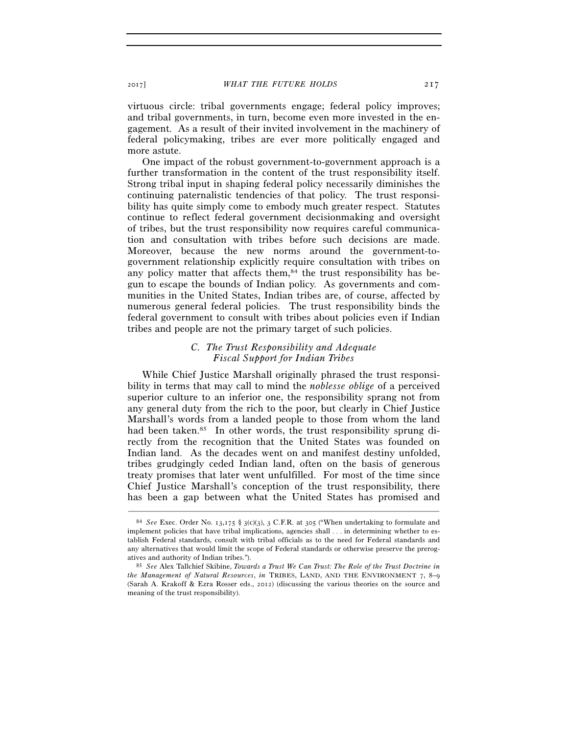virtuous circle: tribal governments engage; federal policy improves; and tribal governments, in turn, become even more invested in the engagement. As a result of their invited involvement in the machinery of federal policymaking, tribes are ever more politically engaged and more astute.

One impact of the robust government-to-government approach is a further transformation in the content of the trust responsibility itself. Strong tribal input in shaping federal policy necessarily diminishes the continuing paternalistic tendencies of that policy. The trust responsibility has quite simply come to embody much greater respect. Statutes continue to reflect federal government decisionmaking and oversight of tribes, but the trust responsibility now requires careful communication and consultation with tribes before such decisions are made. Moreover, because the new norms around the government-togovernment relationship explicitly require consultation with tribes on any policy matter that affects them, $84$  the trust responsibility has begun to escape the bounds of Indian policy. As governments and communities in the United States, Indian tribes are, of course, affected by numerous general federal policies. The trust responsibility binds the federal government to consult with tribes about policies even if Indian tribes and people are not the primary target of such policies.

### *C. The Trust Responsibility and Adequate Fiscal Support for Indian Tribes*

While Chief Justice Marshall originally phrased the trust responsibility in terms that may call to mind the *noblesse oblige* of a perceived superior culture to an inferior one, the responsibility sprang not from any general duty from the rich to the poor, but clearly in Chief Justice Marshall's words from a landed people to those from whom the land had been taken.<sup>85</sup> In other words, the trust responsibility sprung directly from the recognition that the United States was founded on Indian land. As the decades went on and manifest destiny unfolded, tribes grudgingly ceded Indian land, often on the basis of generous treaty promises that later went unfulfilled. For most of the time since Chief Justice Marshall's conception of the trust responsibility, there has been a gap between what the United States has promised and

<sup>84</sup> *See* Exec. Order No. 13,175 § 3(c)(3), 3 C.F.R. at 305 ("When undertaking to formulate and implement policies that have tribal implications, agencies shall . . . in determining whether to establish Federal standards, consult with tribal officials as to the need for Federal standards and any alternatives that would limit the scope of Federal standards or otherwise preserve the prerogatives and authority of Indian tribes."). 85 *See* Alex Tallchief Skibine, *Towards a Trust We Can Trust: The Role of the Trust Doctrine in* 

*the Management of Natural Resources*, *in* TRIBES, LAND, AND THE ENVIRONMENT 7, 8–9 (Sarah A. Krakoff & Ezra Rosser eds., 2012) (discussing the various theories on the source and meaning of the trust responsibility).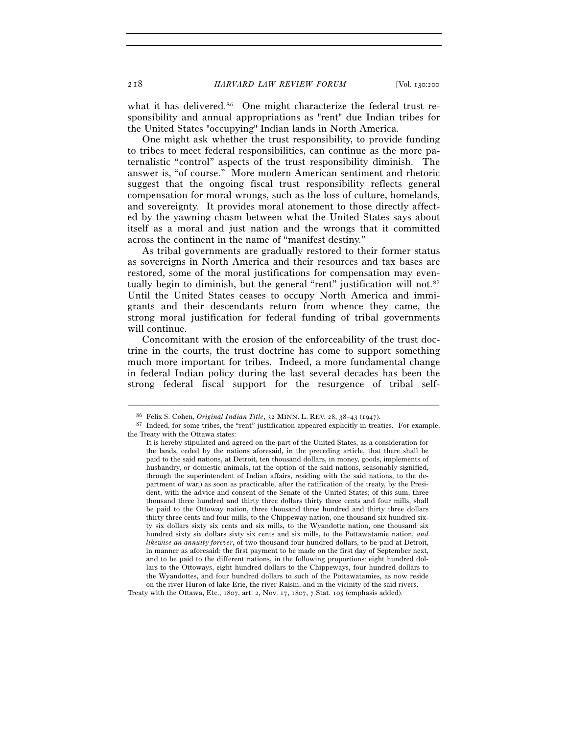218 *HARVARD LAW REVIEW FORUM* [Vol. 130:200

what it has delivered.<sup>86</sup> One might characterize the federal trust responsibility and annual appropriations as "rent" due Indian tribes for the United States "occupying" Indian lands in North America.

One might ask whether the trust responsibility, to provide funding to tribes to meet federal responsibilities, can continue as the more paternalistic "control" aspects of the trust responsibility diminish. The answer is, "of course." More modern American sentiment and rhetoric suggest that the ongoing fiscal trust responsibility reflects general compensation for moral wrongs, such as the loss of culture, homelands, and sovereignty. It provides moral atonement to those directly affected by the yawning chasm between what the United States says about itself as a moral and just nation and the wrongs that it committed across the continent in the name of "manifest destiny."

As tribal governments are gradually restored to their former status as sovereigns in North America and their resources and tax bases are restored, some of the moral justifications for compensation may eventually begin to diminish, but the general "rent" justification will not.<sup>87</sup> Until the United States ceases to occupy North America and immigrants and their descendants return from whence they came, the strong moral justification for federal funding of tribal governments will continue.

Concomitant with the erosion of the enforceability of the trust doctrine in the courts, the trust doctrine has come to support something much more important for tribes. Indeed, a more fundamental change in federal Indian policy during the last several decades has been the strong federal fiscal support for the resurgence of tribal self-

–––––––––––––––––––––––––––––––––––––––––––––––––––––––––––––

Treaty with the Ottawa, Etc., 1807, art. 2, Nov. 17, 1807, 7 Stat. 105 (emphasis added).

<sup>86</sup> Felix S. Cohen, *Original Indian Title*, 32 MINN. L. REV. 28, 38–43 (1947). 87 Indeed, for some tribes, the "rent" justification appeared explicitly in treaties. For example,

the Treaty with the Ottawa states:

It is hereby stipulated and agreed on the part of the United States, as a consideration for the lands, ceded by the nations aforesaid, in the preceding article, that there shall be paid to the said nations, at Detroit, ten thousand dollars, in money, goods, implements of husbandry, or domestic animals, (at the option of the said nations, seasonably signified, through the superintendent of Indian affairs, residing with the said nations, to the department of war,) as soon as practicable, after the ratification of the treaty, by the President, with the advice and consent of the Senate of the United States; of this sum, three thousand three hundred and thirty three dollars thirty three cents and four mills, shall be paid to the Ottoway nation, three thousand three hundred and thirty three dollars thirty three cents and four mills, to the Chippeway nation, one thousand six hundred sixty six dollars sixty six cents and six mills, to the Wyandotte nation, one thousand six hundred sixty six dollars sixty six cents and six mills, to the Pottawatamie nation, *and likewise an annuity forever*, of two thousand four hundred dollars, to be paid at Detroit, in manner as aforesaid: the first payment to be made on the first day of September next, and to be paid to the different nations, in the following proportions: eight hundred dollars to the Ottoways, eight hundred dollars to the Chippeways, four hundred dollars to the Wyandottes, and four hundred dollars to such of the Pottawatamies, as now reside on the river Huron of lake Erie, the river Raisin, and in the vicinity of the said rivers.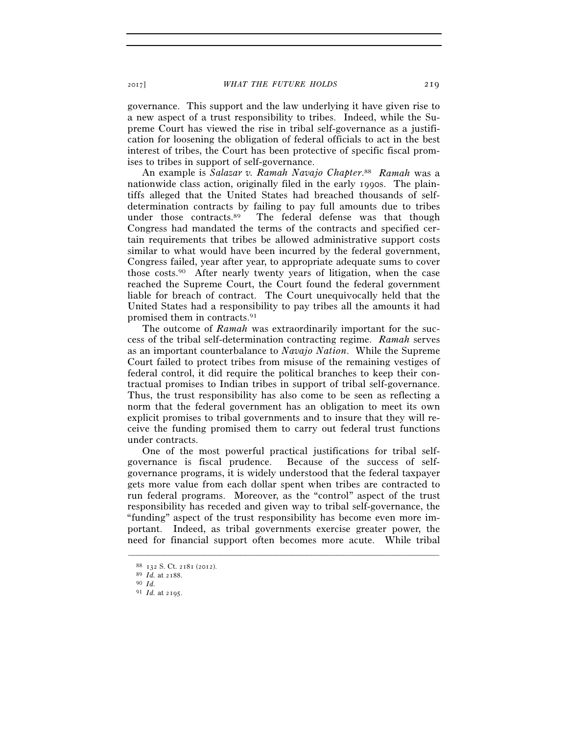2017] *WHAT THE FUTURE HOLDS* 219

governance. This support and the law underlying it have given rise to a new aspect of a trust responsibility to tribes. Indeed, while the Supreme Court has viewed the rise in tribal self-governance as a justification for loosening the obligation of federal officials to act in the best interest of tribes, the Court has been protective of specific fiscal promises to tribes in support of self-governance.

An example is *Salazar v. Ramah Navajo Chapter*. 88 *Ramah* was a nationwide class action, originally filed in the early 1990s. The plaintiffs alleged that the United States had breached thousands of selfdetermination contracts by failing to pay full amounts due to tribes under those contracts.89 The federal defense was that though Congress had mandated the terms of the contracts and specified certain requirements that tribes be allowed administrative support costs similar to what would have been incurred by the federal government, Congress failed, year after year, to appropriate adequate sums to cover those costs.90 After nearly twenty years of litigation, when the case reached the Supreme Court, the Court found the federal government liable for breach of contract. The Court unequivocally held that the United States had a responsibility to pay tribes all the amounts it had promised them in contracts.91

The outcome of *Ramah* was extraordinarily important for the success of the tribal self-determination contracting regime. *Ramah* serves as an important counterbalance to *Navajo Nation*. While the Supreme Court failed to protect tribes from misuse of the remaining vestiges of federal control, it did require the political branches to keep their contractual promises to Indian tribes in support of tribal self-governance. Thus, the trust responsibility has also come to be seen as reflecting a norm that the federal government has an obligation to meet its own explicit promises to tribal governments and to insure that they will receive the funding promised them to carry out federal trust functions under contracts.

One of the most powerful practical justifications for tribal selfgovernance is fiscal prudence. Because of the success of selfgovernance programs, it is widely understood that the federal taxpayer gets more value from each dollar spent when tribes are contracted to run federal programs. Moreover, as the "control" aspect of the trust responsibility has receded and given way to tribal self-governance, the "funding" aspect of the trust responsibility has become even more important. Indeed, as tribal governments exercise greater power, the need for financial support often becomes more acute. While tribal

<sup>88</sup> <sup>132</sup> S. Ct. 2181 (2012). 89 *Id.* at 2188.<sup>90</sup> *Id.*

<sup>91</sup> *Id.* at 2195.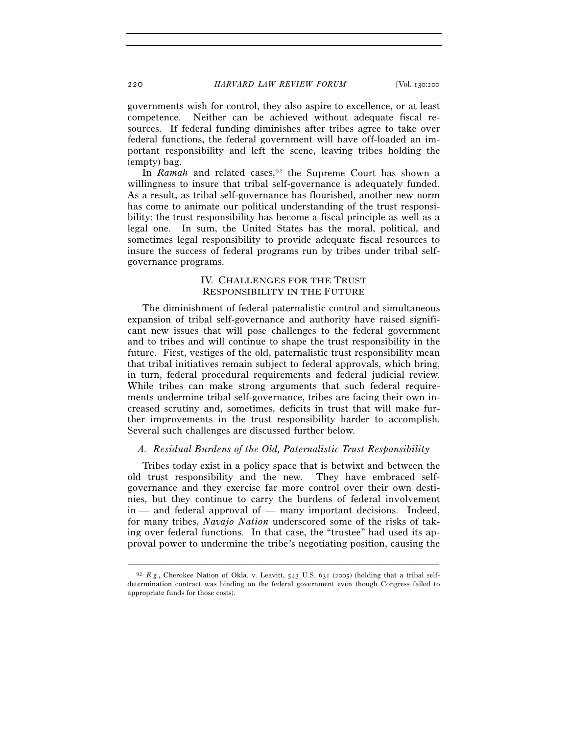governments wish for control, they also aspire to excellence, or at least competence. Neither can be achieved without adequate fiscal resources. If federal funding diminishes after tribes agree to take over federal functions, the federal government will have off-loaded an important responsibility and left the scene, leaving tribes holding the (empty) bag.

In *Ramah* and related cases,<sup>92</sup> the Supreme Court has shown a willingness to insure that tribal self-governance is adequately funded. As a result, as tribal self-governance has flourished, another new norm has come to animate our political understanding of the trust responsibility: the trust responsibility has become a fiscal principle as well as a legal one. In sum, the United States has the moral, political, and sometimes legal responsibility to provide adequate fiscal resources to insure the success of federal programs run by tribes under tribal selfgovernance programs.

### IV. CHALLENGES FOR THE TRUST RESPONSIBILITY IN THE FUTURE

The diminishment of federal paternalistic control and simultaneous expansion of tribal self-governance and authority have raised significant new issues that will pose challenges to the federal government and to tribes and will continue to shape the trust responsibility in the future. First, vestiges of the old, paternalistic trust responsibility mean that tribal initiatives remain subject to federal approvals, which bring, in turn, federal procedural requirements and federal judicial review. While tribes can make strong arguments that such federal requirements undermine tribal self-governance, tribes are facing their own increased scrutiny and, sometimes, deficits in trust that will make further improvements in the trust responsibility harder to accomplish. Several such challenges are discussed further below.

### *A. Residual Burdens of the Old, Paternalistic Trust Responsibility*

Tribes today exist in a policy space that is betwixt and between the old trust responsibility and the new. They have embraced selfgovernance and they exercise far more control over their own destinies, but they continue to carry the burdens of federal involvement in — and federal approval of — many important decisions. Indeed, for many tribes, *Navajo Nation* underscored some of the risks of taking over federal functions. In that case, the "trustee" had used its approval power to undermine the tribe's negotiating position, causing the

<sup>92</sup> *E.g.*, Cherokee Nation of Okla. v. Leavitt, 543 U.S. 631 (2005) (holding that a tribal selfdetermination contract was binding on the federal government even though Congress failed to appropriate funds for those costs).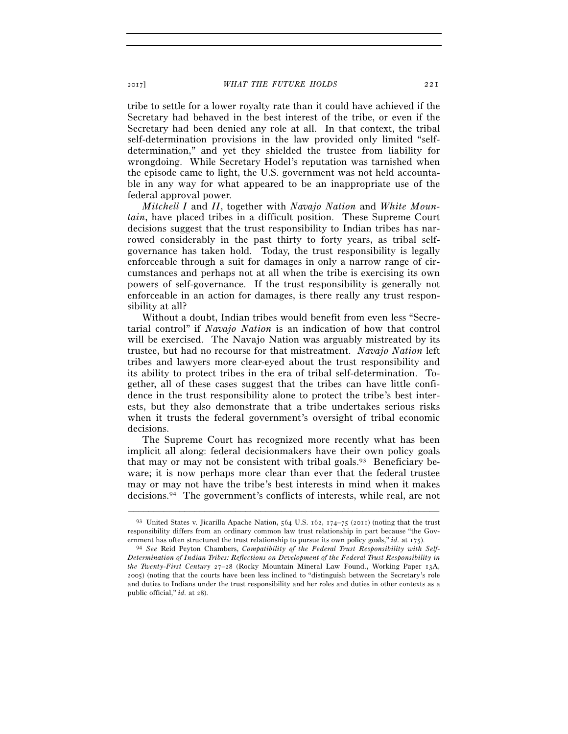tribe to settle for a lower royalty rate than it could have achieved if the Secretary had behaved in the best interest of the tribe, or even if the Secretary had been denied any role at all. In that context, the tribal self-determination provisions in the law provided only limited "selfdetermination," and yet they shielded the trustee from liability for wrongdoing. While Secretary Hodel's reputation was tarnished when the episode came to light, the U.S. government was not held accountable in any way for what appeared to be an inappropriate use of the federal approval power.

*Mitchell I* and *II*, together with *Navajo Nation* and *White Mountain*, have placed tribes in a difficult position. These Supreme Court decisions suggest that the trust responsibility to Indian tribes has narrowed considerably in the past thirty to forty years, as tribal selfgovernance has taken hold. Today, the trust responsibility is legally enforceable through a suit for damages in only a narrow range of circumstances and perhaps not at all when the tribe is exercising its own powers of self-governance. If the trust responsibility is generally not enforceable in an action for damages, is there really any trust responsibility at all?

Without a doubt, Indian tribes would benefit from even less "Secretarial control" if *Navajo Nation* is an indication of how that control will be exercised. The Navajo Nation was arguably mistreated by its trustee, but had no recourse for that mistreatment. *Navajo Nation* left tribes and lawyers more clear-eyed about the trust responsibility and its ability to protect tribes in the era of tribal self-determination. Together, all of these cases suggest that the tribes can have little confidence in the trust responsibility alone to protect the tribe's best interests, but they also demonstrate that a tribe undertakes serious risks when it trusts the federal government's oversight of tribal economic decisions.

The Supreme Court has recognized more recently what has been implicit all along: federal decisionmakers have their own policy goals that may or may not be consistent with tribal goals.93 Beneficiary beware; it is now perhaps more clear than ever that the federal trustee may or may not have the tribe's best interests in mind when it makes decisions.94 The government's conflicts of interests, while real, are not

<sup>93</sup> United States v. Jicarilla Apache Nation, 564 U.S. 162, 174-75 (2011) (noting that the trust responsibility differs from an ordinary common law trust relationship in part because "the Gov-

ernment has often structured the trust relationship to pursue its own policy goals," *id.* at 175). 94 *See* Reid Peyton Chambers, *Compatibility of the Federal Trust Responsibility with Self-Determination of Indian Tribes: Reflections on Development of the Federal Trust Responsibility in the Twenty-First Century* 27–28 (Rocky Mountain Mineral Law Found., Working Paper 13A, 2005) (noting that the courts have been less inclined to "distinguish between the Secretary's role and duties to Indians under the trust responsibility and her roles and duties in other contexts as a public official," *id.* at 28).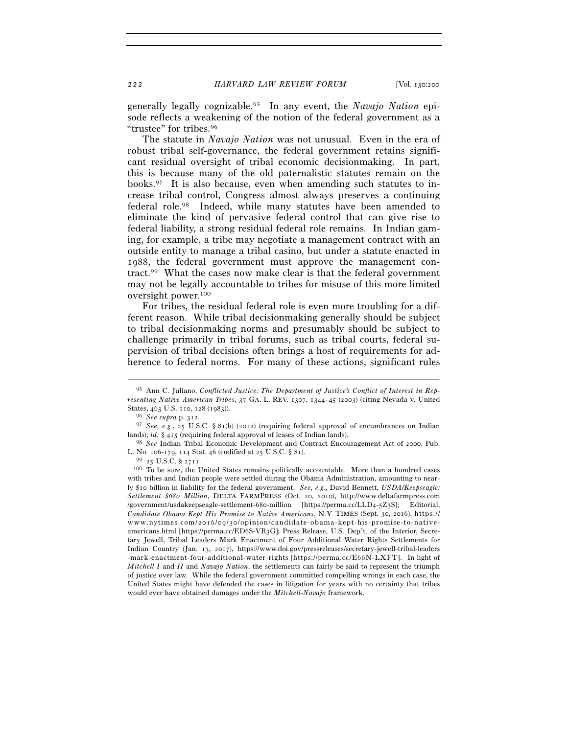generally legally cognizable.95 In any event, the *Navajo Nation* episode reflects a weakening of the notion of the federal government as a "trustee" for tribes.96

The statute in *Navajo Nation* was not unusual. Even in the era of robust tribal self-governance, the federal government retains significant residual oversight of tribal economic decisionmaking. In part, this is because many of the old paternalistic statutes remain on the books.97 It is also because, even when amending such statutes to increase tribal control, Congress almost always preserves a continuing federal role.98 Indeed, while many statutes have been amended to eliminate the kind of pervasive federal control that can give rise to federal liability, a strong residual federal role remains. In Indian gaming, for example, a tribe may negotiate a management contract with an outside entity to manage a tribal casino, but under a statute enacted in 1988, the federal government must approve the management contract.99 What the cases now make clear is that the federal government may not be legally accountable to tribes for misuse of this more limited oversight power.100

For tribes, the residual federal role is even more troubling for a different reason. While tribal decisionmaking generally should be subject to tribal decisionmaking norms and presumably should be subject to challenge primarily in tribal forums, such as tribal courts, federal supervision of tribal decisions often brings a host of requirements for adherence to federal norms. For many of these actions, significant rules

<sup>95</sup> Ann C. Juliano, *Conflicted Justice: The Department of Justice's Conflict of Interest in Representing Native American Tribes*, 37 GA. L. REV. 1307, 1344–45 (2003) (citing Nevada v. United States, 463 U.S. 110, 128 (1983)).<br><sup>96</sup> *See supra* p. 312.<br><sup>97</sup> *See, e.g.*, 25 U.S.C. § 81(b) (2012) (requiring federal approval of encumbrances on Indian

lands); *id.* § 415 (requiring federal approval of leases of Indian lands). 98 *See* Indian Tribal Economic Development and Contract Encouragement Act of 2000, Pub.

L. No. 106-179, 114 Stat. 46 (codified at 25 U.S.C. § 81).<br><sup>99</sup> 25 U.S.C. § 2711.<br><sup>100</sup> To be sure, the United States remains politically accountable. More than a hundred cases

with tribes and Indian people were settled during the Obama Administration, amounting to nearly \$10 billion in liability for the federal government. *See, e.g.*, David Bennett, *USDA/Keepseagle: Settlement \$680 Million*, DELTA FARMPRESS (Oct. 20, 2010), http://www.deltafarmpress.com /government/usdakeepseagle-settlement-680-million [https://perma.cc/LLD4-5Z3S]; Editorial, *Candidate Obama Kept His Promise to Native Americans*, N.Y. TIMES (Sept. 30, 2016), https:// www.nytimes.com/2016/09/30/opinion/candidate-obama-kept-his-promise-to-nativeamericans.html [https://perma.cc/ED6S-VB3G]; Press Release, U.S. Dep't. of the Interior, Secretary Jewell, Tribal Leaders Mark Enactment of Four Additional Water Rights Settlements for Indian Country (Jan. 13, 2017), https://www.doi.gov/pressreleases/secretary-jewell-tribal-leaders -mark-enactment-four-additional-water-rights [https://perma.cc/E66N-LXFT]. In light of *Mitchell I* and *II* and *Navajo Nation*, the settlements can fairly be said to represent the triumph of justice over law. While the federal government committed compelling wrongs in each case, the United States might have defended the cases in litigation for years with no certainty that tribes would ever have obtained damages under the *Mitchell*-*Navajo* framework.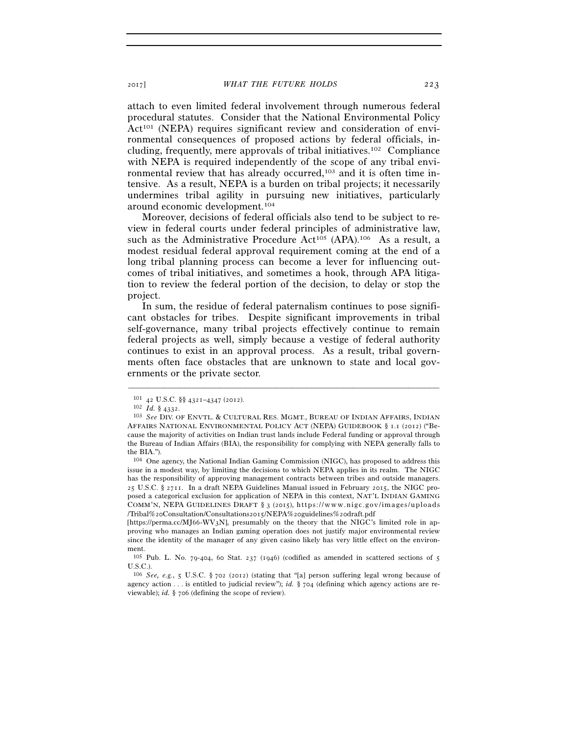attach to even limited federal involvement through numerous federal procedural statutes. Consider that the National Environmental Policy Act<sup>101</sup> (NEPA) requires significant review and consideration of environmental consequences of proposed actions by federal officials, including, frequently, mere approvals of tribal initiatives.102 Compliance with NEPA is required independently of the scope of any tribal environmental review that has already occurred,103 and it is often time intensive. As a result, NEPA is a burden on tribal projects; it necessarily undermines tribal agility in pursuing new initiatives, particularly around economic development.104

Moreover, decisions of federal officials also tend to be subject to review in federal courts under federal principles of administrative law, such as the Administrative Procedure Act<sup>105</sup> (APA).<sup>106</sup> As a result, a modest residual federal approval requirement coming at the end of a long tribal planning process can become a lever for influencing outcomes of tribal initiatives, and sometimes a hook, through APA litigation to review the federal portion of the decision, to delay or stop the project.

In sum, the residue of federal paternalism continues to pose significant obstacles for tribes. Despite significant improvements in tribal self-governance, many tribal projects effectively continue to remain federal projects as well, simply because a vestige of federal authority continues to exist in an approval process. As a result, tribal governments often face obstacles that are unknown to state and local governments or the private sector.

<sup>101</sup> <sup>42</sup> U.S.C. §§ 4321–4347 (2012). 102 *Id.* § 4332. 103 *See* DIV. OF ENVTL. & CULTURAL RES. MGMT., BUREAU OF INDIAN AFFAIRS, INDIAN AFFAIRS NATIONAL ENVIRONMENTAL POLICY ACT (NEPA) GUIDEBOOK § 1.1 (2012) ("Because the majority of activities on Indian trust lands include Federal funding or approval through the Bureau of Indian Affairs (BIA), the responsibility for complying with NEPA generally falls to the BIA.").

<sup>104</sup> One agency, the National Indian Gaming Commission (NIGC), has proposed to address this issue in a modest way, by limiting the decisions to which NEPA applies in its realm. The NIGC has the responsibility of approving management contracts between tribes and outside managers. 25 U.S.C. § 2711. In a draft NEPA Guidelines Manual issued in February 2015, the NIGC proposed a categorical exclusion for application of NEPA in this context, NAT'L INDIAN GAMING COMM'N, NEPA GUIDELINES DRAFT § 3 (2015), https://www.nigc.gov/images/uploads /Tribal%20Consultation/Consultations2015/NEPA%20guidelines%20draft.pdf

<sup>[</sup>https://perma.cc/MJ66-WV3N], presumably on the theory that the NIGC's limited role in approving who manages an Indian gaming operation does not justify major environmental review since the identity of the manager of any given casino likely has very little effect on the environment.

 $105$  Pub. L. No. 79-404, 60 Stat. 237 (1946) (codified as amended in scattered sections of 5 U.S.C.).

<sup>106</sup> *See, e.g.*, 5 U.S.C. § 702 (2012) (stating that "[a] person suffering legal wrong because of agency action . . . is entitled to judicial review"); *id.* § 704 (defining which agency actions are reviewable); *id.* § 706 (defining the scope of review).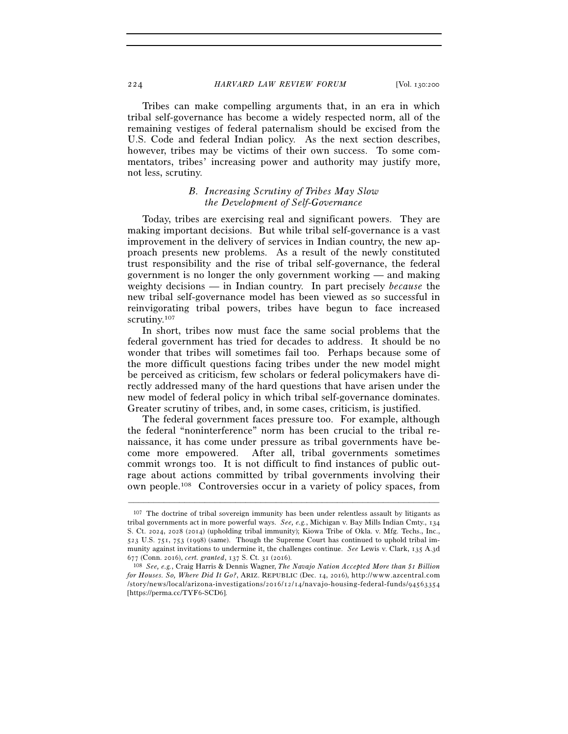#### 224 *HARVARD LAW REVIEW FORUM* [Vol. 130:200

Tribes can make compelling arguments that, in an era in which tribal self-governance has become a widely respected norm, all of the remaining vestiges of federal paternalism should be excised from the U.S. Code and federal Indian policy. As the next section describes, however, tribes may be victims of their own success. To some commentators, tribes' increasing power and authority may justify more, not less, scrutiny.

# *B. Increasing Scrutiny of Tribes May Slow the Development of Self-Governance*

Today, tribes are exercising real and significant powers. They are making important decisions. But while tribal self-governance is a vast improvement in the delivery of services in Indian country, the new approach presents new problems. As a result of the newly constituted trust responsibility and the rise of tribal self-governance, the federal government is no longer the only government working — and making weighty decisions — in Indian country. In part precisely *because* the new tribal self-governance model has been viewed as so successful in reinvigorating tribal powers, tribes have begun to face increased scrutiny.<sup>107</sup>

In short, tribes now must face the same social problems that the federal government has tried for decades to address. It should be no wonder that tribes will sometimes fail too. Perhaps because some of the more difficult questions facing tribes under the new model might be perceived as criticism, few scholars or federal policymakers have directly addressed many of the hard questions that have arisen under the new model of federal policy in which tribal self-governance dominates. Greater scrutiny of tribes, and, in some cases, criticism, is justified.

The federal government faces pressure too. For example, although the federal "noninterference" norm has been crucial to the tribal renaissance, it has come under pressure as tribal governments have become more empowered. After all, tribal governments sometimes commit wrongs too. It is not difficult to find instances of public outrage about actions committed by tribal governments involving their own people.108 Controversies occur in a variety of policy spaces, from

<sup>107</sup> The doctrine of tribal sovereign immunity has been under relentless assault by litigants as tribal governments act in more powerful ways. *See, e.g.*, Michigan v. Bay Mills Indian Cmty., 134 S. Ct. 2024, 2028 (2014) (upholding tribal immunity); Kiowa Tribe of Okla. v. Mfg. Techs., Inc., 523 U.S. 751, 753 (1998) (same). Though the Supreme Court has continued to uphold tribal immunity against invitations to undermine it, the challenges continue. *See* Lewis v. Clark, 135 A.3d

<sup>677</sup> (Conn. 2016), *cert. granted*, 137 S. Ct. 31 (2016). 108 *See, e.g.*, Craig Harris & Dennis Wagner, *The Navajo Nation Accepted More than \$1 Billion for Houses. So, Where Did It Go?*, ARIZ. REPUBLIC (Dec. 14, 2016), http://www.azcentral.com /story/news/local/arizona-investigations/2016/12/14/navajo-housing-federal-funds/94563354 [https://perma.cc/TYF6-SCD6].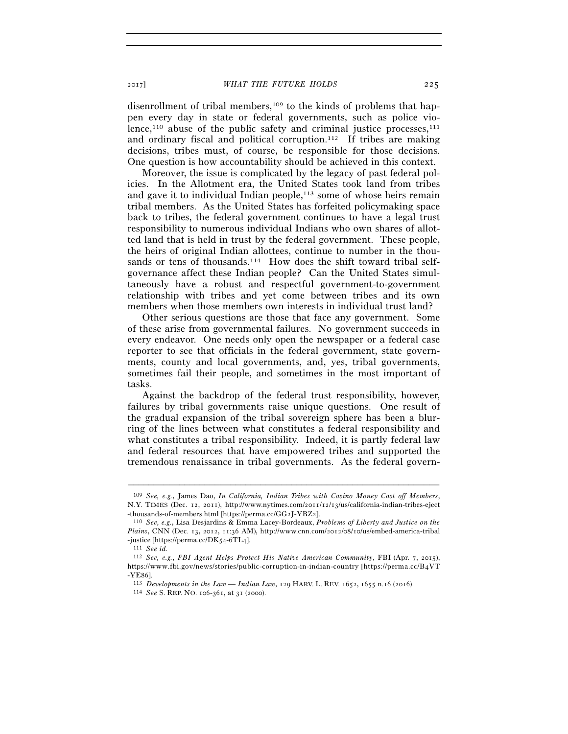2017] *WHAT THE FUTURE HOLDS* 225

disenrollment of tribal members,<sup>109</sup> to the kinds of problems that happen every day in state or federal governments, such as police violence,<sup>110</sup> abuse of the public safety and criminal justice processes, $111$ and ordinary fiscal and political corruption.112 If tribes are making decisions, tribes must, of course, be responsible for those decisions. One question is how accountability should be achieved in this context.

Moreover, the issue is complicated by the legacy of past federal policies. In the Allotment era, the United States took land from tribes and gave it to individual Indian people, $113$  some of whose heirs remain tribal members. As the United States has forfeited policymaking space back to tribes, the federal government continues to have a legal trust responsibility to numerous individual Indians who own shares of allotted land that is held in trust by the federal government. These people, the heirs of original Indian allottees, continue to number in the thousands or tens of thousands.<sup>114</sup> How does the shift toward tribal selfgovernance affect these Indian people? Can the United States simultaneously have a robust and respectful government-to-government relationship with tribes and yet come between tribes and its own members when those members own interests in individual trust land?

Other serious questions are those that face any government. Some of these arise from governmental failures. No government succeeds in every endeavor. One needs only open the newspaper or a federal case reporter to see that officials in the federal government, state governments, county and local governments, and, yes, tribal governments, sometimes fail their people, and sometimes in the most important of tasks.

Against the backdrop of the federal trust responsibility, however, failures by tribal governments raise unique questions. One result of the gradual expansion of the tribal sovereign sphere has been a blurring of the lines between what constitutes a federal responsibility and what constitutes a tribal responsibility. Indeed, it is partly federal law and federal resources that have empowered tribes and supported the tremendous renaissance in tribal governments. As the federal govern-

<sup>109</sup> *See, e.g.*, James Dao, *In California, Indian Tribes with Casino Money Cast off Members*, N.Y. TIMES (Dec. 12, 2011), http://www.nytimes.com/2011/12/13/us/california-indian-tribes-eject -thousands-of-members.html [https://perma.cc/GG2J-YBZ2]. 110 *See, e.g.*, Lisa Desjardins & Emma Lacey-Bordeaux, *Problems of Liberty and Justice on the* 

*Plains*, CNN (Dec. 13, 2012, 11:36 AM), http://www.cnn.com/2012/08/10/us/embed-america-tribal -justice [https://perma.cc/DK54-6TL4]. 111 *See id.* 

<sup>112</sup> *See, e.g.*, *FBI Agent Helps Protect His Native American Community*, FBI (Apr. 7, 2015), https://www.fbi.gov/news/stories/public-corruption-in-indian-country [https://perma.cc/B4VT<br>-VE861

<sup>&</sup>lt;sup>113</sup> *Developments in the Law — Indian Law*, 129 HARV. L. REV. 1652, 1655 n.16 (2016). <sup>114</sup> *See* S. REP. NO. 106-361, at 31 (2000).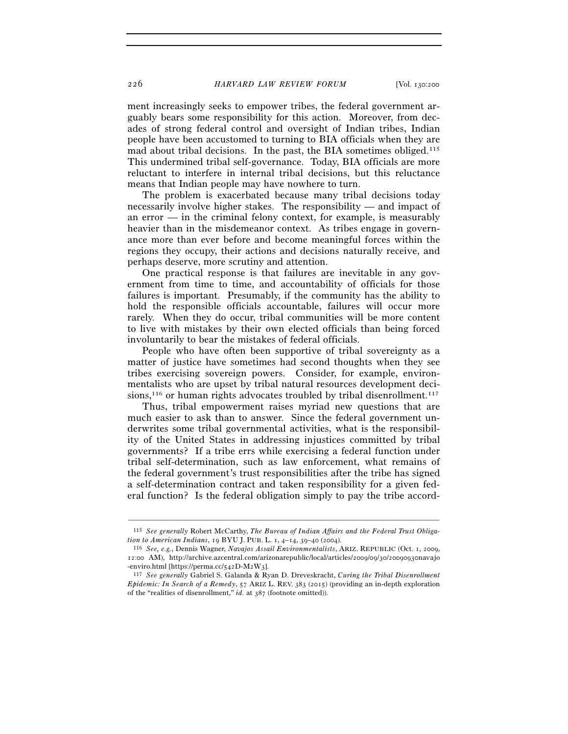ment increasingly seeks to empower tribes, the federal government arguably bears some responsibility for this action. Moreover, from decades of strong federal control and oversight of Indian tribes, Indian people have been accustomed to turning to BIA officials when they are mad about tribal decisions. In the past, the BIA sometimes obliged.115 This undermined tribal self-governance. Today, BIA officials are more reluctant to interfere in internal tribal decisions, but this reluctance means that Indian people may have nowhere to turn.

The problem is exacerbated because many tribal decisions today necessarily involve higher stakes. The responsibility — and impact of an error  $\overline{-}$  in the criminal felony context, for example, is measurably heavier than in the misdemeanor context. As tribes engage in governance more than ever before and become meaningful forces within the regions they occupy, their actions and decisions naturally receive, and perhaps deserve, more scrutiny and attention.

One practical response is that failures are inevitable in any government from time to time, and accountability of officials for those failures is important. Presumably, if the community has the ability to hold the responsible officials accountable, failures will occur more rarely. When they do occur, tribal communities will be more content to live with mistakes by their own elected officials than being forced involuntarily to bear the mistakes of federal officials.

People who have often been supportive of tribal sovereignty as a matter of justice have sometimes had second thoughts when they see tribes exercising sovereign powers. Consider, for example, environmentalists who are upset by tribal natural resources development decisions,<sup>116</sup> or human rights advocates troubled by tribal disenrollment.<sup>117</sup>

Thus, tribal empowerment raises myriad new questions that are much easier to ask than to answer. Since the federal government underwrites some tribal governmental activities, what is the responsibility of the United States in addressing injustices committed by tribal governments? If a tribe errs while exercising a federal function under tribal self-determination, such as law enforcement, what remains of the federal government's trust responsibilities after the tribe has signed a self-determination contract and taken responsibility for a given federal function? Is the federal obligation simply to pay the tribe accord-

<sup>–––––––––––––––––––––––––––––––––––––––––––––––––––––––––––––</sup> 115 *See generally* Robert McCarthy, *The Bureau of Indian Affairs and the Federal Trust Obligation to American Indians*, 19 BYU J. PUB. L. 1, 4–14, 39–40 (2004). 116 *See, e.g.*, Dennis Wagner, *Navajos Assail Environmentalists*, ARIZ. REPUBLIC (Oct. 1, 2009,

<sup>12:00</sup> AM), http://archive.azcentral.com/arizonarepublic/local/articles/2009/09/30/20090930navajo -enviro.html [https://perma.cc/542D-M2W3]. 117 *See generally* Gabriel S. Galanda & Ryan D. Dreveskracht, *Curing the Tribal Disenrollment* 

*Epidemic: In Search of a Remedy*, 57 ARIZ L. REV. 383 (2015) (providing an in-depth exploration of the "realities of disenrollment," *id.* at 387 (footnote omitted)).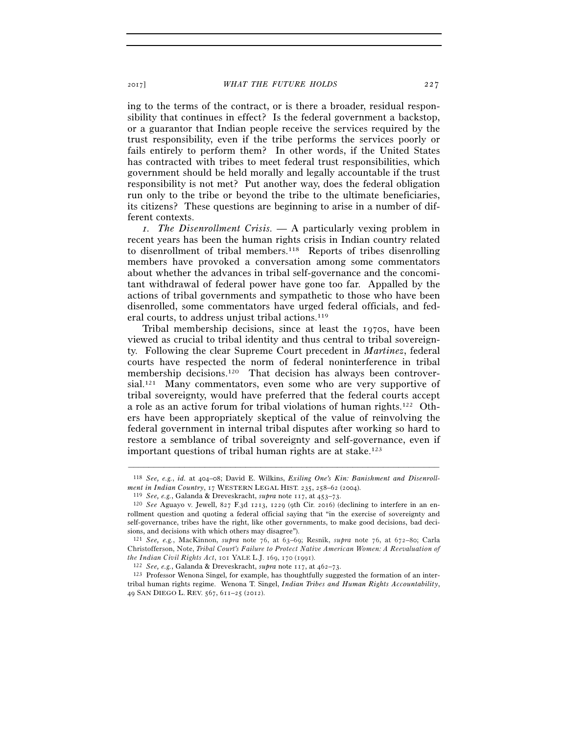ing to the terms of the contract, or is there a broader, residual responsibility that continues in effect? Is the federal government a backstop, or a guarantor that Indian people receive the services required by the trust responsibility, even if the tribe performs the services poorly or fails entirely to perform them? In other words, if the United States has contracted with tribes to meet federal trust responsibilities, which government should be held morally and legally accountable if the trust responsibility is not met? Put another way, does the federal obligation run only to the tribe or beyond the tribe to the ultimate beneficiaries, its citizens? These questions are beginning to arise in a number of different contexts.

*1. The Disenrollment Crisis. —* A particularly vexing problem in recent years has been the human rights crisis in Indian country related to disenrollment of tribal members.118 Reports of tribes disenrolling members have provoked a conversation among some commentators about whether the advances in tribal self-governance and the concomitant withdrawal of federal power have gone too far. Appalled by the actions of tribal governments and sympathetic to those who have been disenrolled, some commentators have urged federal officials, and federal courts, to address unjust tribal actions.119

Tribal membership decisions, since at least the 1970s, have been viewed as crucial to tribal identity and thus central to tribal sovereignty. Following the clear Supreme Court precedent in *Martinez*, federal courts have respected the norm of federal noninterference in tribal membership decisions.<sup>120</sup> That decision has always been controversial.121 Many commentators, even some who are very supportive of tribal sovereignty, would have preferred that the federal courts accept a role as an active forum for tribal violations of human rights.122 Others have been appropriately skeptical of the value of reinvolving the federal government in internal tribal disputes after working so hard to restore a semblance of tribal sovereignty and self-governance, even if important questions of tribal human rights are at stake.<sup>123</sup>

<sup>–––––––––––––––––––––––––––––––––––––––––––––––––––––––––––––</sup> 118 *See, e.g.*, *id.* at 404–08; David E. Wilkins, *Exiling One's Kin: Banishment and Disenroll-*

<sup>&</sup>lt;sup>119</sup> See, e.g., Galanda & Dreveskracht, *supra* note 117, at 453–73.<br><sup>120</sup> See Aguayo v. Jewell, 827 F.3d 1213, 1229 (9th Cir. 2016) (declining to interfere in an enrollment question and quoting a federal official saying that "in the exercise of sovereignty and self-governance, tribes have the right, like other governments, to make good decisions, bad decisions, and decisions with which others may disagree").

<sup>121</sup> *See, e.g.*, MacKinnon, *supra* note 76, at 63–69; Resnik, *supra* note 76, at 672–80; Carla Christofferson, Note, *Tribal Court's Failure to Protect Native American Women: A Reevaluation of the Indian Civil Rights Act*, 101 YALE L.J. 169, 170 (1991).<br><sup>122</sup> *See, e.g.*, Galanda & Dreveskracht, *supra* note 117, at 462–73.

<sup>&</sup>lt;sup>123</sup> Professor Wenona Singel, for example, has thoughtfully suggested the formation of an intertribal human rights regime. Wenona T. Singel, *Indian Tribes and Human Rights Accountability*, 49 SAN DIEGO L. REV. 567, 611–25 (2012).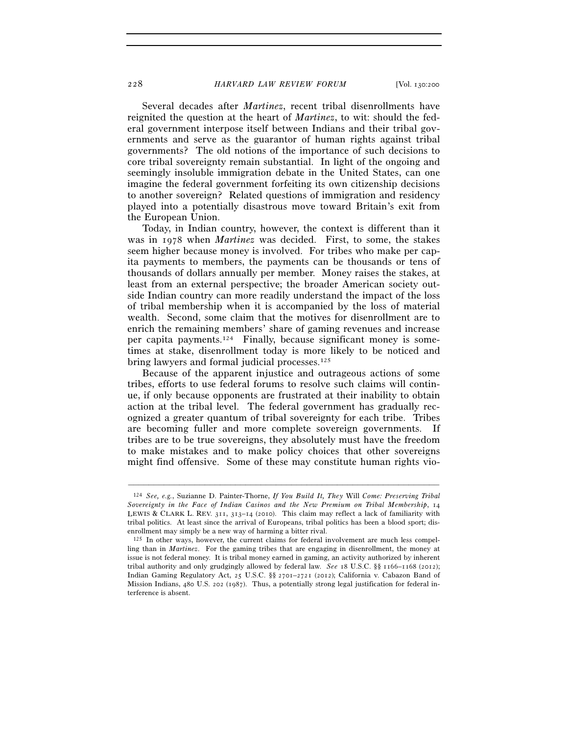Several decades after *Martinez*, recent tribal disenrollments have reignited the question at the heart of *Martinez*, to wit: should the federal government interpose itself between Indians and their tribal governments and serve as the guarantor of human rights against tribal governments? The old notions of the importance of such decisions to core tribal sovereignty remain substantial. In light of the ongoing and seemingly insoluble immigration debate in the United States, can one imagine the federal government forfeiting its own citizenship decisions to another sovereign? Related questions of immigration and residency played into a potentially disastrous move toward Britain's exit from the European Union.

Today, in Indian country, however, the context is different than it was in 1978 when *Martinez* was decided. First, to some, the stakes seem higher because money is involved. For tribes who make per capita payments to members, the payments can be thousands or tens of thousands of dollars annually per member. Money raises the stakes, at least from an external perspective; the broader American society outside Indian country can more readily understand the impact of the loss of tribal membership when it is accompanied by the loss of material wealth. Second, some claim that the motives for disenrollment are to enrich the remaining members' share of gaming revenues and increase per capita payments.124 Finally, because significant money is sometimes at stake, disenrollment today is more likely to be noticed and bring lawyers and formal judicial processes.<sup>125</sup>

Because of the apparent injustice and outrageous actions of some tribes, efforts to use federal forums to resolve such claims will continue, if only because opponents are frustrated at their inability to obtain action at the tribal level. The federal government has gradually recognized a greater quantum of tribal sovereignty for each tribe. Tribes are becoming fuller and more complete sovereign governments. If tribes are to be true sovereigns, they absolutely must have the freedom to make mistakes and to make policy choices that other sovereigns might find offensive. Some of these may constitute human rights vio-

<sup>124</sup> *See, e.g.*, Suzianne D. Painter-Thorne, *If You Build It, They* Will *Come: Preserving Tribal Sovereignty in the Face of Indian Casinos and the New Premium on Tribal Membership*, 14 LEWIS & CLARK L. REV. 311, 313-14 (2010). This claim may reflect a lack of familiarity with tribal politics. At least since the arrival of Europeans, tribal politics has been a blood sport; disenrollment may simply be a new way of harming a bitter rival.

<sup>125</sup> In other ways, however, the current claims for federal involvement are much less compelling than in *Martinez*. For the gaming tribes that are engaging in disenrollment, the money at issue is not federal money. It is tribal money earned in gaming, an activity authorized by inherent tribal authority and only grudgingly allowed by federal law. *See* 18 U.S.C. §§ 1166–1168 (2012); Indian Gaming Regulatory Act, 25 U.S.C. §§ 2701–2721 (2012); California v. Cabazon Band of Mission Indians, 480 U.S. 202 (1987). Thus, a potentially strong legal justification for federal interference is absent.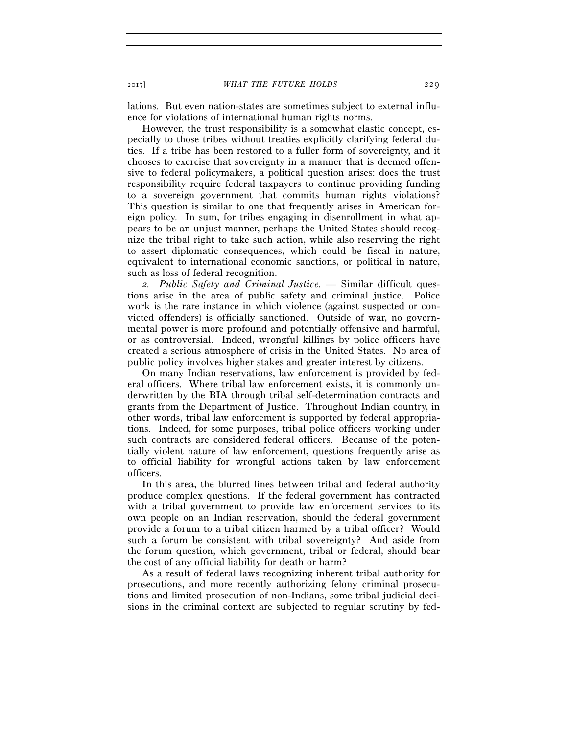lations. But even nation-states are sometimes subject to external influence for violations of international human rights norms.

However, the trust responsibility is a somewhat elastic concept, especially to those tribes without treaties explicitly clarifying federal duties. If a tribe has been restored to a fuller form of sovereignty, and it chooses to exercise that sovereignty in a manner that is deemed offensive to federal policymakers, a political question arises: does the trust responsibility require federal taxpayers to continue providing funding to a sovereign government that commits human rights violations? This question is similar to one that frequently arises in American foreign policy. In sum, for tribes engaging in disenrollment in what appears to be an unjust manner, perhaps the United States should recognize the tribal right to take such action, while also reserving the right to assert diplomatic consequences, which could be fiscal in nature, equivalent to international economic sanctions, or political in nature, such as loss of federal recognition.

*2. Public Safety and Criminal Justice. —* Similar difficult questions arise in the area of public safety and criminal justice. Police work is the rare instance in which violence (against suspected or convicted offenders) is officially sanctioned. Outside of war, no governmental power is more profound and potentially offensive and harmful, or as controversial. Indeed, wrongful killings by police officers have created a serious atmosphere of crisis in the United States. No area of public policy involves higher stakes and greater interest by citizens.

On many Indian reservations, law enforcement is provided by federal officers. Where tribal law enforcement exists, it is commonly underwritten by the BIA through tribal self-determination contracts and grants from the Department of Justice. Throughout Indian country, in other words, tribal law enforcement is supported by federal appropriations. Indeed, for some purposes, tribal police officers working under such contracts are considered federal officers. Because of the potentially violent nature of law enforcement, questions frequently arise as to official liability for wrongful actions taken by law enforcement officers.

In this area, the blurred lines between tribal and federal authority produce complex questions. If the federal government has contracted with a tribal government to provide law enforcement services to its own people on an Indian reservation, should the federal government provide a forum to a tribal citizen harmed by a tribal officer? Would such a forum be consistent with tribal sovereignty? And aside from the forum question, which government, tribal or federal, should bear the cost of any official liability for death or harm?

As a result of federal laws recognizing inherent tribal authority for prosecutions, and more recently authorizing felony criminal prosecutions and limited prosecution of non-Indians, some tribal judicial decisions in the criminal context are subjected to regular scrutiny by fed-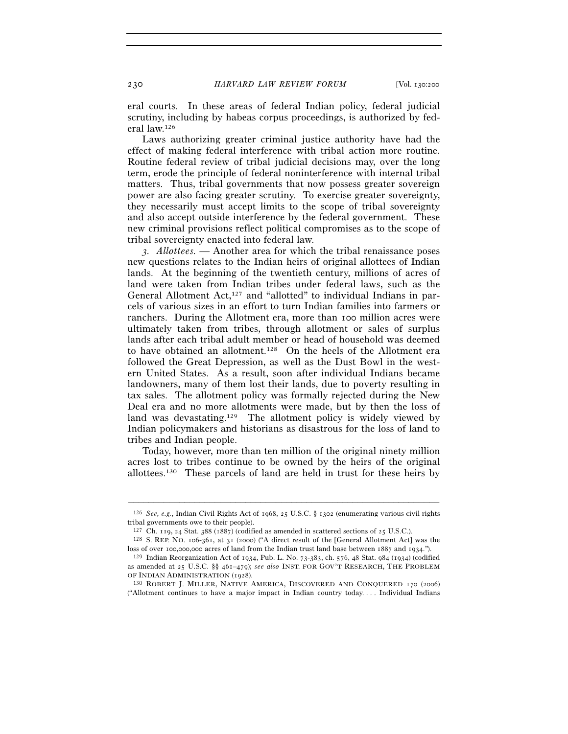eral courts. In these areas of federal Indian policy, federal judicial scrutiny, including by habeas corpus proceedings, is authorized by federal law.126

Laws authorizing greater criminal justice authority have had the effect of making federal interference with tribal action more routine. Routine federal review of tribal judicial decisions may, over the long term, erode the principle of federal noninterference with internal tribal matters. Thus, tribal governments that now possess greater sovereign power are also facing greater scrutiny. To exercise greater sovereignty, they necessarily must accept limits to the scope of tribal sovereignty and also accept outside interference by the federal government. These new criminal provisions reflect political compromises as to the scope of tribal sovereignty enacted into federal law.

*3. Allottees. —* Another area for which the tribal renaissance poses new questions relates to the Indian heirs of original allottees of Indian lands. At the beginning of the twentieth century, millions of acres of land were taken from Indian tribes under federal laws, such as the General Allotment Act,<sup>127</sup> and "allotted" to individual Indians in parcels of various sizes in an effort to turn Indian families into farmers or ranchers. During the Allotment era, more than 100 million acres were ultimately taken from tribes, through allotment or sales of surplus lands after each tribal adult member or head of household was deemed to have obtained an allotment.128 On the heels of the Allotment era followed the Great Depression, as well as the Dust Bowl in the western United States. As a result, soon after individual Indians became landowners, many of them lost their lands, due to poverty resulting in tax sales. The allotment policy was formally rejected during the New Deal era and no more allotments were made, but by then the loss of land was devastating.<sup>129</sup> The allotment policy is widely viewed by Indian policymakers and historians as disastrous for the loss of land to tribes and Indian people.

Today, however, more than ten million of the original ninety million acres lost to tribes continue to be owned by the heirs of the original allottees.130 These parcels of land are held in trust for these heirs by

<sup>–––––––––––––––––––––––––––––––––––––––––––––––––––––––––––––</sup> 126 *See, e.g.*, Indian Civil Rights Act of 1968, 25 U.S.C. § 1302 (enumerating various civil rights tribal governments owe to their people).

<sup>&</sup>lt;sup>127</sup> Ch. 119, 24 Stat. 388 (1887) (codified as amended in scattered sections of 25 U.S.C.).<br><sup>128</sup> S. REP. NO. 106-361, at 31 (2000) ("A direct result of the [General Allotment Act] was the<br>loss of over 100,000,000 acres

 $1^{29}$  Indian Reorganization Act of 1934, Pub. L. No. 73-383, ch. 576, 48 Stat. 984 (1934) (codified as amended at 25 U.S.C. §§ 461–479); *see also* INST. FOR GOV'T RESEARCH, THE PROBLEM

<sup>&</sup>lt;sup>130</sup> ROBERT J. MILLER, NATIVE AMERICA, DISCOVERED AND CONQUERED 170 (2006) ("Allotment continues to have a major impact in Indian country today. . . . Individual Indians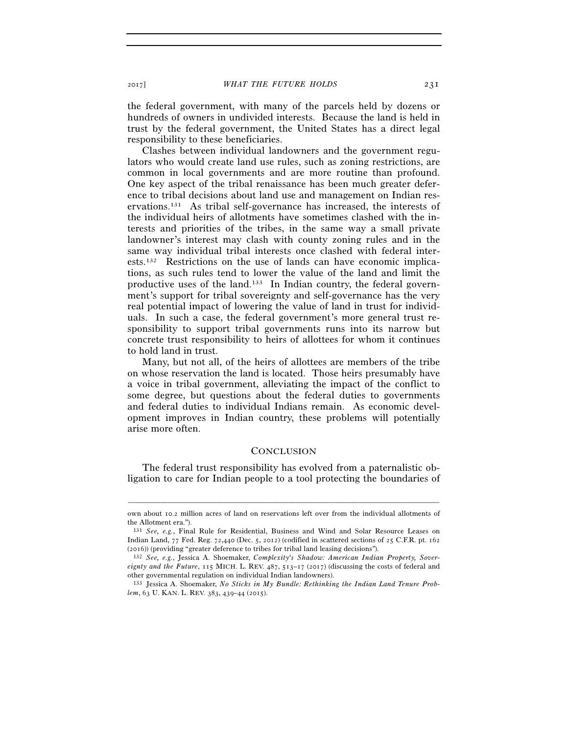the federal government, with many of the parcels held by dozens or hundreds of owners in undivided interests. Because the land is held in trust by the federal government, the United States has a direct legal responsibility to these beneficiaries.

Clashes between individual landowners and the government regulators who would create land use rules, such as zoning restrictions, are common in local governments and are more routine than profound. One key aspect of the tribal renaissance has been much greater deference to tribal decisions about land use and management on Indian reservations.131 As tribal self-governance has increased, the interests of the individual heirs of allotments have sometimes clashed with the interests and priorities of the tribes, in the same way a small private landowner's interest may clash with county zoning rules and in the same way individual tribal interests once clashed with federal interests.132 Restrictions on the use of lands can have economic implications, as such rules tend to lower the value of the land and limit the productive uses of the land.133 In Indian country, the federal government's support for tribal sovereignty and self-governance has the very real potential impact of lowering the value of land in trust for individuals. In such a case, the federal government's more general trust responsibility to support tribal governments runs into its narrow but concrete trust responsibility to heirs of allottees for whom it continues to hold land in trust.

Many, but not all, of the heirs of allottees are members of the tribe on whose reservation the land is located. Those heirs presumably have a voice in tribal government, alleviating the impact of the conflict to some degree, but questions about the federal duties to governments and federal duties to individual Indians remain. As economic development improves in Indian country, these problems will potentially arise more often.

#### **CONCLUSION**

The federal trust responsibility has evolved from a paternalistic obligation to care for Indian people to a tool protecting the boundaries of

<sup>–––––––––––––––––––––––––––––––––––––––––––––––––––––––––––––</sup> own about 10.2 million acres of land on reservations left over from the individual allotments of the Allotment era.").

<sup>131</sup> *See, e.g.*, Final Rule for Residential, Business and Wind and Solar Resource Leases on Indian Land, 77 Fed. Reg. 72,440 (Dec. 5, 2012) (codified in scattered sections of 25 C.F.R. pt. 162 (2016)) (providing "greater deference to tribes for tribal land leasing decisions").

<sup>&</sup>lt;sup>132</sup> See, e.g., Jessica A. Shoemaker, *Complexity's Shadow: American Indian Property, Sovereignty and the Future*, 115 MICH. L. REV. 487, 513–17 (2017) (discussing the costs of federal and other governmental regulation on individual Indian landowners).

<sup>133</sup> Jessica A. Shoemaker, *No Sticks in My Bundle: Rethinking the Indian Land Tenure Problem*, 63 U. KAN. L. REV. 383, 439–44 (2015).